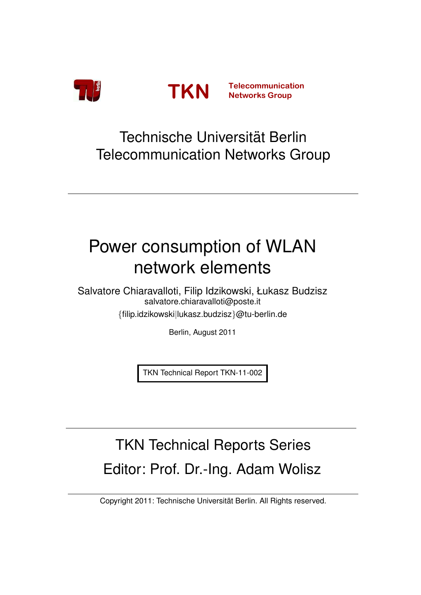<span id="page-0-0"></span>



## Technische Universität Berlin Telecommunication Networks Group

# Power consumption of WLAN network elements

Salvatore Chiaravalloti, Filip Idzikowski, Łukasz Budzisz salvatore.chiaravalloti@poste.it {filip.idzikowski|lukasz.budzisz}@tu-berlin.de

Berlin, August 2011

TKN Technical Report TKN-11-002

# TKN Technical Reports Series Editor: Prof. Dr.-Ing. Adam Wolisz

Copyright 2011: Technische Universität Berlin. All Rights reserved.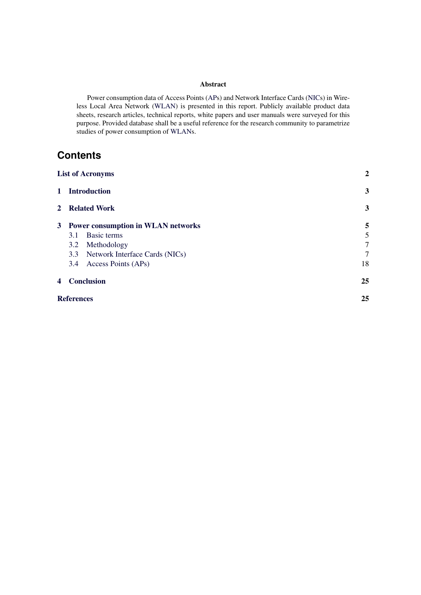#### Abstract

Power consumption data of Access Points [\(APs](#page-2-0)) and Network Interface Cards [\(NICs](#page-2-1)) in Wireless Local Area Network [\(WLAN\)](#page-2-2) is presented in this report. Publicly available product data sheets, research articles, technical reports, white papers and user manuals were surveyed for this purpose. Provided database shall be a useful reference for the research community to parametrize studies of power consumption of [WLANs](#page-2-2).

## **Contents**

|   | <b>List of Acronyms</b>              | $\boldsymbol{2}$ |
|---|--------------------------------------|------------------|
|   | 1 Introduction                       | 3                |
|   | 2 Related Work                       | 3                |
|   | 3 Power consumption in WLAN networks | 5                |
|   | Basic terms<br>3.1                   | 5                |
|   | Methodology<br>3.2                   | 7                |
|   | 3.3 Network Interface Cards (NICs)   | 7                |
|   | 3.4 Access Points (APs)              | 18               |
| 4 | <b>Conclusion</b>                    | 25               |
|   | <b>References</b>                    | 25               |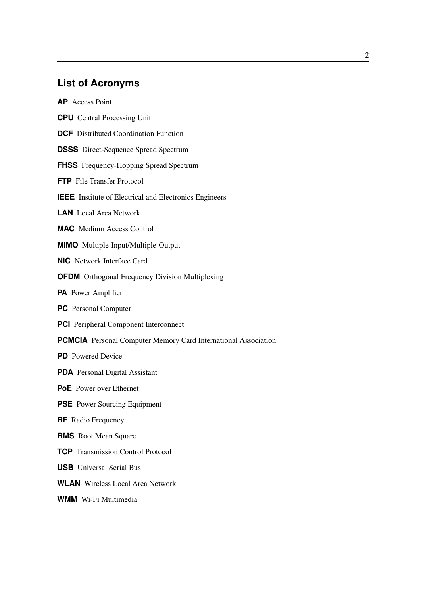## **List of Acronyms**

<span id="page-2-3"></span><span id="page-2-0"></span>**AP** Access Point

- <span id="page-2-10"></span>**CPU** Central Processing Unit
- <span id="page-2-8"></span>**DCF** Distributed Coordination Function
- <span id="page-2-12"></span>**DSSS** Direct-Sequence Spread Spectrum
- <span id="page-2-11"></span>**FHSS** Frequency-Hopping Spread Spectrum
- <span id="page-2-24"></span>**FTP** File Transfer Protocol
- <span id="page-2-6"></span>**IEEE** Institute of Electrical and Electronics Engineers
- <span id="page-2-7"></span>**LAN** Local Area Network
- <span id="page-2-9"></span>**MAC** Medium Access Control
- <span id="page-2-14"></span>**MIMO** Multiple-Input/Multiple-Output
- <span id="page-2-1"></span>**NIC** Network Interface Card
- <span id="page-2-13"></span>**OFDM** Orthogonal Frequency Division Multiplexing
- <span id="page-2-21"></span>**PA** Power Amplifier
- <span id="page-2-19"></span>**PC** Personal Computer
- <span id="page-2-20"></span>**PCI** Peripheral Component Interconnect
- <span id="page-2-4"></span>**PCMCIA** Personal Computer Memory Card International Association
- <span id="page-2-18"></span>**PD** Powered Device
- <span id="page-2-15"></span>**PDA** Personal Digital Assistant
- <span id="page-2-16"></span>**PoE** Power over Ethernet
- <span id="page-2-17"></span>**PSE** Power Sourcing Equipment
- <span id="page-2-5"></span>**RF** Radio Frequency
- <span id="page-2-25"></span>**RMS** Root Mean Square
- <span id="page-2-23"></span>**TCP** Transmission Control Protocol
- <span id="page-2-22"></span>**USB** Universal Serial Bus
- <span id="page-2-2"></span>**WLAN** Wireless Local Area Network
- <span id="page-2-26"></span>**WMM** Wi-Fi Multimedia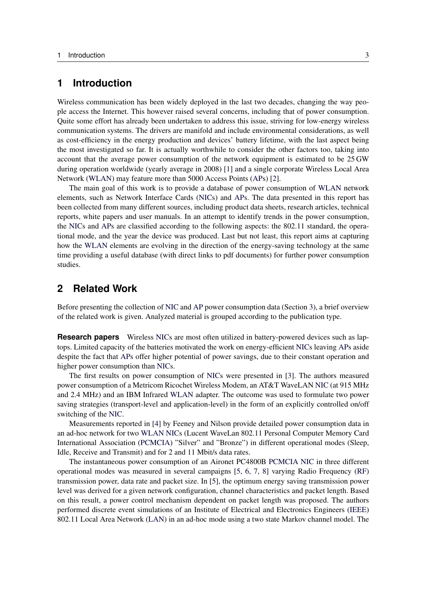#### <span id="page-3-0"></span>**1 Introduction**

Wireless communication has been widely deployed in the last two decades, changing the way people access the Internet. This however raised several concerns, including that of power consumption. Quite some effort has already been undertaken to address this issue, striving for low-energy wireless communication systems. The drivers are manifold and include environmental considerations, as well as cost-efficiency in the energy production and devices' battery lifetime, with the last aspect being the most investigated so far. It is actually worthwhile to consider the other factors too, taking into account that the average power consumption of the network equipment is estimated to be 25 GW during operation worldwide (yearly average in 2008) [\[1\]](#page-25-2) and a single corporate Wireless Local Area Network [\(WLAN\)](#page-2-2) may feature more than 5000 Access Points [\(APs](#page-2-0)) [\[2\]](#page-25-3).

The main goal of this work is to provide a database of power consumption of [WLAN](#page-2-2) network elements, such as Network Interface Cards [\(NICs](#page-2-1)) and [APs](#page-2-0). The data presented in this report has been collected from many different sources, including product data sheets, research articles, technical reports, white papers and user manuals. In an attempt to identify trends in the power consumption, the [NICs](#page-2-1) and [APs](#page-2-0) are classified according to the following aspects: the 802.11 standard, the operational mode, and the year the device was produced. Last but not least, this report aims at capturing how the [WLAN](#page-2-2) elements are evolving in the direction of the energy-saving technology at the same time providing a useful database (with direct links to pdf documents) for further power consumption studies.

### <span id="page-3-1"></span>**2 Related Work**

Before presenting the collection of [NIC](#page-2-1) and [AP](#page-2-0) power consumption data (Section [3\)](#page-5-0), a brief overview of the related work is given. Analyzed material is grouped according to the publication type.

**Research papers** Wireless [NICs](#page-2-1) are most often utilized in battery-powered devices such as laptops. Limited capacity of the batteries motivated the work on energy-efficient [NICs](#page-2-1) leaving [APs](#page-2-0) aside despite the fact that [APs](#page-2-0) offer higher potential of power savings, due to their constant operation and higher power consumption than [NICs](#page-2-1).

The first results on power consumption of [NICs](#page-2-1) were presented in [\[3\]](#page-25-4). The authors measured power consumption of a Metricom Ricochet Wireless Modem, an AT&T WaveLAN [NIC](#page-2-1) (at 915 MHz and 2.4 MHz) and an IBM Infrared [WLAN](#page-2-2) adapter. The outcome was used to formulate two power saving strategies (transport-level and application-level) in the form of an explicitly controlled on/off switching of the [NIC.](#page-2-1)

Measurements reported in [\[4\]](#page-26-0) by Feeney and Nilson provide detailed power consumption data in an ad-hoc network for two [WLAN](#page-2-2) [NICs](#page-2-1) (Lucent WaveLan 802.11 Personal Computer Memory Card International Association [\(PCMCIA\)](#page-2-4) "Silver" and "Bronze") in different operational modes (Sleep, Idle, Receive and Transmit) and for 2 and 11 Mbit/s data rates.

The instantaneous power consumption of an Aironet PC4800B [PCMCIA](#page-2-4) [NIC](#page-2-1) in three different operational modes was measured in several campaigns [\[5,](#page-26-1) [6,](#page-26-2) [7,](#page-26-3) [8\]](#page-26-4) varying Radio Frequency [\(RF\)](#page-2-5) transmission power, data rate and packet size. In [\[5\]](#page-26-1), the optimum energy saving transmission power level was derived for a given network configuration, channel characteristics and packet length. Based on this result, a power control mechanism dependent on packet length was proposed. The authors performed discrete event simulations of an Institute of Electrical and Electronics Engineers [\(IEEE\)](#page-2-6) 802.11 Local Area Network [\(LAN\)](#page-2-7) in an ad-hoc mode using a two state Markov channel model. The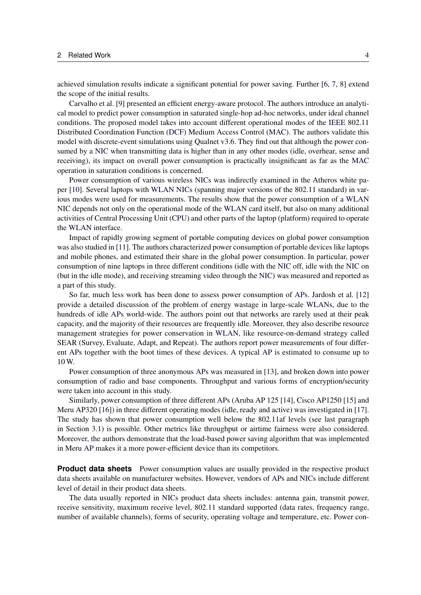achieved simulation results indicate a significant potential for power saving. Further [\[6,](#page-26-2) [7,](#page-26-3) [8\]](#page-26-4) extend the scope of the initial results.

Carvalho et al. [\[9\]](#page-26-5) presented an efficient energy-aware protocol. The authors introduce an analytical model to predict power consumption in saturated single-hop ad-hoc networks, under ideal channel conditions. The proposed model takes into account different operational modes of the [IEEE](#page-2-6) 802.11 Distributed Coordination Function [\(DCF\)](#page-2-8) Medium Access Control [\(MAC\)](#page-2-9). The authors validate this model with discrete-event simulations using Qualnet v3.6. They find out that although the power consumed by a [NIC](#page-2-1) when transmitting data is higher than in any other modes (idle, overhear, sense and receiving), its impact on overall power consumption is practically insignificant as far as the [MAC](#page-2-9) operation in saturation conditions is concerned.

Power consumption of various wireless [NICs](#page-2-1) was indirectly examined in the Atheros white paper [\[10\]](#page-26-6). Several laptops with [WLAN](#page-2-2) [NICs](#page-2-1) (spanning major versions of the 802.11 standard) in various modes were used for measurements. The results show that the power consumption of a [WLAN](#page-2-2) [NIC](#page-2-1) depends not only on the operational mode of the [WLAN](#page-2-2) card itself, but also on many additional activities of Central Processing Unit [\(CPU\)](#page-2-10) and other parts of the laptop (platform) required to operate the [WLAN](#page-2-2) interface.

Impact of rapidly growing segment of portable computing devices on global power consumption was also studied in [\[11\]](#page-26-7). The authors characterized power consumption of portable devices like laptops and mobile phones, and estimated their share in the global power consumption. In particular, power consumption of nine laptops in three different conditions (idle with the [NIC](#page-2-1) off, idle with the [NIC](#page-2-1) on (but in the idle mode), and receiving streaming video through the [NIC\)](#page-2-1) was measured and reported as a part of this study.

So far, much less work has been done to assess power consumption of [APs](#page-2-0). Jardosh et al. [\[12\]](#page-26-8) provide a detailed discussion of the problem of energy wastage in large-scale [WLANs](#page-2-2), due to the hundreds of idle [APs](#page-2-0) world-wide. The authors point out that networks are rarely used at their peak capacity, and the majority of their resources are frequently idle. Moreover, they also describe resource management strategies for power conservation in [WLAN,](#page-2-2) like resource-on-demand strategy called SEAR (Survey, Evaluate, Adapt, and Repeat). The authors report power measurements of four different [APs](#page-2-0) together with the boot times of these devices. A typical [AP](#page-2-0) is estimated to consume up to 10 W.

Power consumption of three anonymous [APs](#page-2-0) was measured in [\[13\]](#page-26-9), and broken down into power consumption of radio and base components. Throughput and various forms of encryption/security were taken into account in this study.

Similarly, power consumption of three different [APs](#page-2-0) (Aruba AP 125 [\[14\]](#page-26-10), Cisco AP1250 [\[15\]](#page-26-11) and Meru AP320 [\[16\]](#page-26-12)) in three different operating modes (idle, ready and active) was investigated in [\[17\]](#page-26-13). The study has shown that power consumption well below the 802.11af levels (see last paragraph in Section [3.1\)](#page-5-1) is possible. Other metrics like throughput or airtime fairness were also considered. Moreover, the authors demonstrate that the load-based power saving algorithm that was implemented in Meru [AP](#page-2-0) makes it a more power-efficient device than its competitors.

**Product data sheets** Power consumption values are usually provided in the respective product data sheets available on manufacturer websites. However, vendors of [APs](#page-2-0) and [NICs](#page-2-1) include different level of detail in their product data sheets.

The data usually reported in [NICs](#page-2-1) product data sheets includes: antenna gain, transmit power, receive sensitivity, maximum receive level, 802.11 standard supported (data rates, frequency range, number of available channels), forms of security, operating voltage and temperature, etc. Power con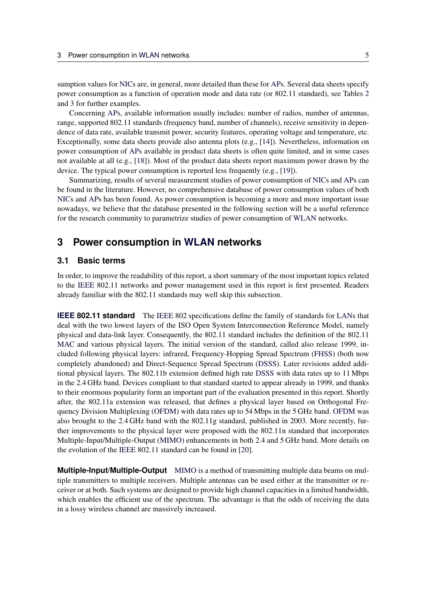sumption values for [NICs](#page-2-1) are, in general, more detailed than these for [APs](#page-2-0). Several data sheets specify power consumption as a function of operation mode and data rate (or 802.11 standard), see Tables [2](#page-11-0) and [3](#page-15-0) for further examples.

Concerning [APs](#page-2-0), available information usually includes: number of radios, number of antennas, range, supported 802.11 standards (frequency band, number of channels), receive sensitivity in dependence of data rate, available transmit power, security features, operating voltage and temperature, etc. Exceptionally, some data sheets provide also antenna plots (e.g., [\[14\]](#page-26-10)). Nevertheless, information on power consumption of [APs](#page-2-0) available in product data sheets is often quite limited, and in some cases not available at all (e.g., [\[18\]](#page-26-14)). Most of the product data sheets report maximum power drawn by the device. The typical power consumption is reported less frequently (e.g., [\[19\]](#page-26-15)).

Summarizing, results of several measurement studies of power consumption of [NICs](#page-2-1) and [APs](#page-2-0) can be found in the literature. However, no comprehensive database of power consumption values of both [NICs](#page-2-1) and [APs](#page-2-0) has been found. As power consumption is becoming a more and more important issue nowadays, we believe that the database presented in the following section will be a useful reference for the research community to parametrize studies of power consumption of [WLAN](#page-2-2) networks.

#### <span id="page-5-0"></span>**3 Power consumption in [WLAN](#page-2-2) networks**

#### <span id="page-5-1"></span>**3.1 Basic terms**

In order, to improve the readability of this report, a short summary of the most important topics related to the [IEEE](#page-2-6) 802.11 networks and power management used in this report is first presented. Readers already familiar with the 802.11 standards may well skip this subsection.

**[IEEE](#page-2-6) 802.11 standard** The IEEE 802 specifications define the family of standards for [LANs](#page-2-7) that deal with the two lowest layers of the ISO Open System Interconnection Reference Model, namely physical and data-link layer. Consequently, the 802.11 standard includes the definition of the 802.11 [MAC](#page-2-9) and various physical layers. The initial version of the standard, called also release 1999, included following physical layers: infrared, Frequency-Hopping Spread Spectrum [\(FHSS\)](#page-2-11) (both now completely abandoned) and Direct-Sequence Spread Spectrum [\(DSSS\)](#page-2-12). Later revisions added additional physical layers. The 802.11b extension defined high rate [DSSS](#page-2-12) with data rates up to 11 Mbps in the 2.4 GHz band. Devices compliant to that standard started to appear already in 1999, and thanks to their enormous popularity form an important part of the evaluation presented in this report. Shortly after, the 802.11a extension was released, that defines a physical layer based on Orthogonal Frequency Division Multiplexing [\(OFDM\)](#page-2-13) with data rates up to 54 Mbps in the 5 GHz band. [OFDM](#page-2-13) was also brought to the 2.4 GHz band with the 802.11g standard, published in 2003. More recently, further improvements to the physical layer were proposed with the 802.11n standard that incorporates Multiple-Input/Multiple-Output [\(MIMO\)](#page-2-14) enhancements in both 2.4 and 5 GHz band. More details on the evolution of the [IEEE](#page-2-6) 802.11 standard can be found in [\[20\]](#page-26-16).

**Multiple-Input/Multiple-Output** [MIMO](#page-2-14) is a method of transmitting multiple data beams on multiple transmitters to multiple receivers. Multiple antennas can be used either at the transmitter or receiver or at both. Such systems are designed to provide high channel capacities in a limited bandwidth, which enables the efficient use of the spectrum. The advantage is that the odds of receiving the data in a lossy wireless channel are massively increased.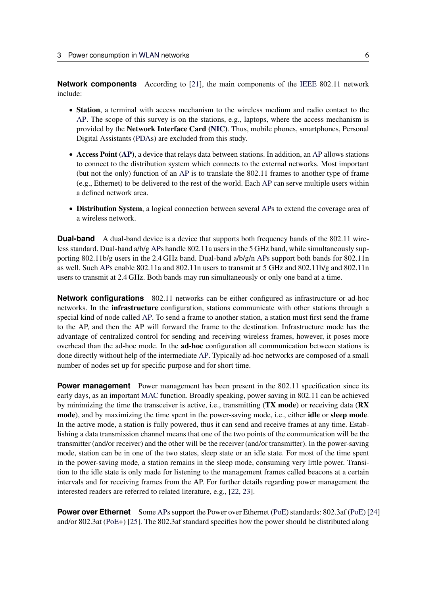**Network components** According to [\[21\]](#page-26-17), the main components of the [IEEE](#page-2-6) 802.11 network include:

- Station, a terminal with access mechanism to the wireless medium and radio contact to the [AP.](#page-2-0) The scope of this survey is on the stations, e.g., laptops, where the access mechanism is provided by the Network Interface Card [\(NIC\)](#page-2-1). Thus, mobile phones, smartphones, Personal Digital Assistants [\(PDAs](#page-2-15)) are excluded from this study.
- Access Point [\(AP\)](#page-2-0), a device that relays data between stations. In addition, an [AP](#page-2-0) allows stations to connect to the distribution system which connects to the external networks. Most important (but not the only) function of an [AP](#page-2-0) is to translate the 802.11 frames to another type of frame (e.g., Ethernet) to be delivered to the rest of the world. Each [AP](#page-2-0) can serve multiple users within a defined network area.
- Distribution System, a logical connection between several [APs](#page-2-0) to extend the coverage area of a wireless network.

**Dual-band** A dual-band device is a device that supports both frequency bands of the 802.11 wireless standard. Dual-band a/b/g [APs](#page-2-0) handle 802.11a users in the 5 GHz band, while simultaneously supporting 802.11b/g users in the 2.4 GHz band. Dual-band a/b/g/n [APs](#page-2-0) support both bands for 802.11n as well. Such [APs](#page-2-0) enable 802.11a and 802.11n users to transmit at 5 GHz and 802.11b/g and 802.11n users to transmit at 2.4 GHz. Both bands may run simultaneously or only one band at a time.

**Network configurations** 802.11 networks can be either configured as infrastructure or ad-hoc networks. In the infrastructure configuration, stations communicate with other stations through a special kind of node called [AP.](#page-2-0) To send a frame to another station, a station must first send the frame to the AP, and then the AP will forward the frame to the destination. Infrastructure mode has the advantage of centralized control for sending and receiving wireless frames, however, it poses more overhead than the ad-hoc mode. In the ad-hoc configuration all communication between stations is done directly without help of the intermediate [AP.](#page-2-0) Typically ad-hoc networks are composed of a small number of nodes set up for specific purpose and for short time.

**Power management** Power management has been present in the 802.11 specification since its early days, as an important [MAC](#page-2-9) function. Broadly speaking, power saving in 802.11 can be achieved by minimizing the time the transceiver is active, i.e., transmitting (TX mode) or receiving data (RX mode), and by maximizing the time spent in the power-saving mode, i.e., either **idle** or **sleep mode**. In the active mode, a station is fully powered, thus it can send and receive frames at any time. Establishing a data transmission channel means that one of the two points of the communication will be the transmitter (and/or receiver) and the other will be the receiver (and/or transmitter). In the power-saving mode, station can be in one of the two states, sleep state or an idle state. For most of the time spent in the power-saving mode, a station remains in the sleep mode, consuming very little power. Transition to the idle state is only made for listening to the management frames called beacons at a certain intervals and for receiving frames from the AP. For further details regarding power management the interested readers are referred to related literature, e.g., [\[22,](#page-26-18) [23\]](#page-26-19).

**Power over Ethernet** Some [APs](#page-2-0) support the Power over Ethernet [\(PoE\)](#page-2-16) standards: 802.3af [\(PoE\)](#page-2-16) [\[24\]](#page-27-0) and/or 802.3at [\(PoE+](#page-2-16)) [\[25\]](#page-27-1). The 802.3af standard specifies how the power should be distributed along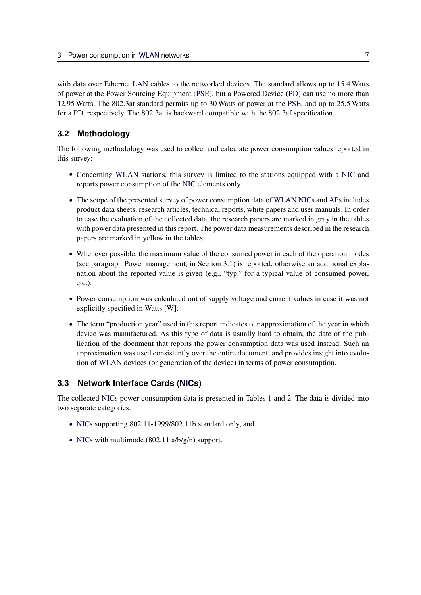with data over Ethernet [LAN](#page-2-7) cables to the networked devices. The standard allows up to 15.4 Watts of power at the Power Sourcing Equipment [\(PSE\)](#page-2-17), but a Powered Device [\(PD\)](#page-2-18) can use no more than 12.95 Watts. The 802.3at standard permits up to 30 Watts of power at the [PSE,](#page-2-17) and up to 25.5 Watts for a [PD,](#page-2-18) respectively. The 802.3at is backward compatible with the 802.3af specification.

#### <span id="page-7-0"></span>**3.2 Methodology**

The following methodology was used to collect and calculate power consumption values reported in this survey:

- Concerning [WLAN](#page-2-2) stations, this survey is limited to the stations equipped with a [NIC](#page-2-1) and reports power consumption of the [NIC](#page-2-1) elements only.
- The scope of the presented survey of power consumption data of [WLAN](#page-2-2) [NICs](#page-2-1) and [APs](#page-2-0) includes product data sheets, research articles, technical reports, white papers and user manuals. In order to ease the evaluation of the collected data, the research papers are marked in gray in the tables with power data presented in this report. The power data measurements described in the research papers are marked in yellow in the tables.
- Whenever possible, the maximum value of the consumed power in each of the operation modes (see paragraph Power management, in Section [3.1\)](#page-5-1) is reported, otherwise an additional explanation about the reported value is given (e.g., "typ." for a typical value of consumed power, etc.).
- Power consumption was calculated out of supply voltage and current values in case it was not explicitly specified in Watts [W].
- The term "production year" used in this report indicates our approximation of the year in which device was manufactured. As this type of data is usually hard to obtain, the date of the publication of the document that reports the power consumption data was used instead. Such an approximation was used consistently over the entire document, and provides insight into evolution of [WLAN](#page-2-2) devices (or generation of the device) in terms of power consumption.

#### <span id="page-7-1"></span>**3.3 Network Interface Cards [\(NICs](#page-2-1))**

The collected [NICs](#page-2-1) power consumption data is presented in Tables [1](#page-8-0) and [2.](#page-11-0) The data is divided into two separate categories:

- [NICs](#page-2-1) supporting 802.11-1999/802.11b standard only, and
- [NICs](#page-2-1) with multimode  $(802.11 \text{ a/b/g/n})$  support.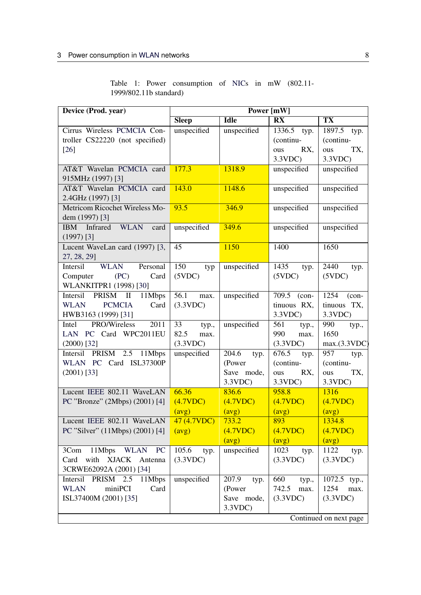|                        |  |  | Table 1: Power consumption of NICs in mW (802.11- |  |  |  |
|------------------------|--|--|---------------------------------------------------|--|--|--|
| 1999/802.11b standard) |  |  |                                                   |  |  |  |

<span id="page-8-0"></span>

| Device (Prod. year)                                                                           | Power [mW]                              |                                                 |                                                    |                                                  |  |
|-----------------------------------------------------------------------------------------------|-----------------------------------------|-------------------------------------------------|----------------------------------------------------|--------------------------------------------------|--|
|                                                                                               | <b>Sleep</b>                            | <b>Idle</b>                                     | $\overline{\mathbf{R}}\overline{\mathbf{X}}$       | <b>TX</b>                                        |  |
| Cirrus Wireless PCMCIA Con-<br>troller CS22220 (not specified)<br>$[26]$                      | unspecified                             | unspecified                                     | 1336.5 typ.<br>(continu-<br>RX,<br>ous<br>3.3VDC   | 1897.5 typ.<br>(continu-<br>TX,<br>ous<br>3.3VDC |  |
| AT&T Wavelan PCMCIA card<br>915MHz (1997) [3]                                                 | 177.3                                   | 1318.9                                          | unspecified                                        | unspecified                                      |  |
| AT&T Wavelan PCMCIA card<br>2.4GHz (1997) [3]                                                 | 143.0                                   | 1148.6                                          | unspecified                                        | unspecified                                      |  |
| Metricom Ricochet Wireless Mo-<br>dem (1997) [3]                                              | 93.5                                    | 346.9                                           | unspecified                                        | unspecified                                      |  |
| Infrared<br>WLAN<br><b>IBM</b><br>card<br>$(1997)$ [3]                                        | unspecified                             | 349.6                                           | unspecified                                        | unspecified                                      |  |
| Lucent WaveLan card (1997) [3,<br>27, 28, 29]                                                 | 45                                      | 1150                                            | 1400                                               | 1650                                             |  |
| <b>WLAN</b><br>Personal<br>Intersil<br>Computer<br>(PC)<br>Card<br>WLANKITPR1 (1998) [30]     | 150<br>typ<br>(5VDC)                    | unspecified                                     | 1435<br>typ.<br>(5VDC)                             | 2440<br>typ.<br>(5VDC)                           |  |
| Intersil<br>11Mbps<br>PRISM II<br><b>PCMCIA</b><br><b>WLAN</b><br>Card<br>HWB3163 (1999) [31] | 56.1<br>max.<br>(3.3VDC)                | unspecified                                     | 709.5 (con-<br>tinuous RX,<br>3.3VDC               | 1254<br>$(con-$<br>tinuous TX,<br>3.3VDC         |  |
| PRO/Wireless<br>2011<br>Intel<br>LAN PC Card WPC2011EU<br>$(2000)$ [32]                       | 33<br>typ.,<br>82.5<br>max.<br>(3.3VDC) | unspecified                                     | 561<br>typ.,<br>990<br>max.<br>(3.3VDC)            | 990<br>typ.,<br>1650<br>max.(3.3VDC)             |  |
| Intersil PRISM 2.5 11Mbps<br>WLAN PC Card ISL37300P<br>$(2001)$ [33]                          | unspecified                             | 204.6<br>typ.<br>(Power<br>Save mode,<br>3.3VDC | 676.5<br>typ.<br>(continu-<br>RX,<br>ous<br>3.3VDC | 957<br>typ.<br>(continu-<br>TX,<br>ous<br>3.3VDC |  |
| Lucent IEEE 802.11 WaveLAN<br>PC "Bronze" (2Mbps) (2001) [4]                                  | 66.36<br>(4.7VDC)<br>(avg)              | 836.6<br>(4.7VDC)<br>(avg)                      | 958.8<br>(4.7VDC)<br>(avg)                         | 1316<br>(4.7VDC)<br>(avg)                        |  |
| Lucent IEEE 802.11 WaveLAN<br>PC "Silver" (11Mbps) (2001) [4]                                 | 47 (4.7VDC)<br>(avg)                    | 733.2<br>(4.7VDC)<br>(avg)                      | 893<br>(4.7VDC)<br>(avg)                           | 1334.8<br>(4.7VDC)<br>(avg)                      |  |
| 3Com 11Mbps WLAN PC<br>Card with XJACK Antenna<br>3CRWE62092A (2001) [34]                     | 105.6<br>typ.<br>(3.3VDC)               | unspecified                                     | 1023<br>typ.<br>(3.3VDC)                           | 1122<br>typ.<br>(3.3VDC)                         |  |
| Intersil PRISM 2.5<br>11Mbps<br><b>WLAN</b><br>miniPCI<br>Card<br>ISL37400M (2001) [35]       | unspecified                             | 207.9<br>typ.<br>(Power<br>Save mode,<br>3.3VDC | 660<br>typ.,<br>742.5<br>max.<br>(3.3VDC)          | 1072.5 typ.,<br>1254<br>max.<br>(3.3VDC)         |  |
|                                                                                               |                                         |                                                 |                                                    | Continued on next page                           |  |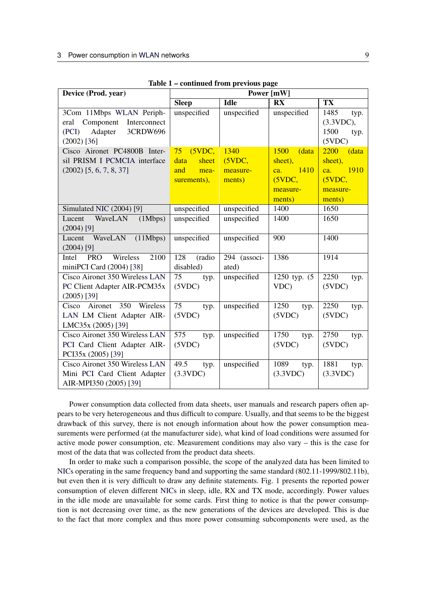| Device (Prod. year)                                                                                         | Power [mW]                 |                       |                          |                                                     |  |
|-------------------------------------------------------------------------------------------------------------|----------------------------|-----------------------|--------------------------|-----------------------------------------------------|--|
|                                                                                                             | <b>Sleep</b>               | <b>Idle</b>           | <b>RX</b>                | $\overline{\textbf{T}}\textbf{X}$                   |  |
| 3Com 11Mbps WLAN Periph-<br>Component Interconnect<br>eral<br>Adapter<br>3CRDW696<br>(PCI)<br>$(2002)$ [36] | unspecified                | unspecified           | unspecified              | 1485<br>typ.<br>(3.3VDC),<br>1500<br>typ.<br>(5VDC) |  |
| Cisco Aironet PC4800B Inter-                                                                                | 75<br>(5VDC,               | 1340                  | 1500<br>(data            | 2200<br>(data                                       |  |
| sil PRISM I PCMCIA interface                                                                                | data<br>sheet              | (5VDC,                | sheet),                  | sheet),                                             |  |
| $(2002)$ [5, 6, 7, 8, 37]                                                                                   | and<br>mea-                | measure-              | 1410<br>ca.              | 1910<br>ca.                                         |  |
|                                                                                                             | surements),                | ments)                | (5VDC,                   | (5VDC,                                              |  |
|                                                                                                             |                            |                       | measure-                 | measure-                                            |  |
|                                                                                                             |                            |                       | ments)                   | ments)                                              |  |
| Simulated NIC (2004) [9]                                                                                    | unspecified                | unspecified           | 1400                     | 1650                                                |  |
| Lucent<br>WaveLAN<br>(1Mbps)<br>$(2004)$ [9]                                                                | unspecified                | unspecified           | 1400                     | 1650                                                |  |
| WaveLAN<br>(11Mbps)<br>Lucent<br>$(2004)$ [9]                                                               | unspecified                | unspecified           | 900                      | 1400                                                |  |
| Wireless<br>2100<br><b>PRO</b><br>Intel<br>miniPCI Card (2004) [38]                                         | 128<br>(radio<br>disabled) | 294 (associ-<br>ated) | 1386                     | 1914                                                |  |
| <b>Cisco Aironet 350 Wireless LAN</b><br>PC Client Adapter AIR-PCM35x<br>$(2005)$ [39]                      | 75<br>typ.<br>(5VDC)       | unspecified           | 1250 typ. (5)<br>VDC)    | 2250<br>typ.<br>(5VDC)                              |  |
| 350<br>Wireless<br>Cisco Aironet<br>LAN LM Client Adapter AIR-<br>LMC35x (2005) [39]                        | 75<br>typ.<br>(5VDC)       | unspecified           | 1250<br>typ.<br>(5VDC)   | 2250<br>typ.<br>(5VDC)                              |  |
| Cisco Aironet 350 Wireless LAN<br>PCI Card Client Adapter AIR-<br>PCI35x (2005) [39]                        | 575<br>typ.<br>(5VDC)      | unspecified           | 1750<br>typ.<br>(5VDC)   | 2750<br>typ.<br>(5VDC)                              |  |
| Cisco Aironet 350 Wireless LAN<br>Mini PCI Card Client Adapter<br>AIR-MPI350 (2005) [39]                    | 49.5<br>typ.<br>(3.3VDC)   | unspecified           | 1089<br>typ.<br>(3.3VDC) | 1881<br>typ.<br>(3.3VDC)                            |  |

Table 1 – continued from previous page

Power consumption data collected from data sheets, user manuals and research papers often appears to be very heterogeneous and thus difficult to compare. Usually, and that seems to be the biggest drawback of this survey, there is not enough information about how the power consumption measurements were performed (at the manufacturer side), what kind of load conditions were assumed for active mode power consumption, etc. Measurement conditions may also vary – this is the case for most of the data that was collected from the product data sheets.

In order to make such a comparison possible, the scope of the analyzed data has been limited to [NICs](#page-2-1) operating in the same frequency band and supporting the same standard (802.11-1999/802.11b), but even then it is very difficult to draw any definite statements. Fig. [1](#page-10-0) presents the reported power consumption of eleven different [NICs](#page-2-1) in sleep, idle, RX and TX mode, accordingly. Power values in the idle mode are unavailable for some cards. First thing to notice is that the power consumption is not decreasing over time, as the new generations of the devices are developed. This is due to the fact that more complex and thus more power consuming subcomponents were used, as the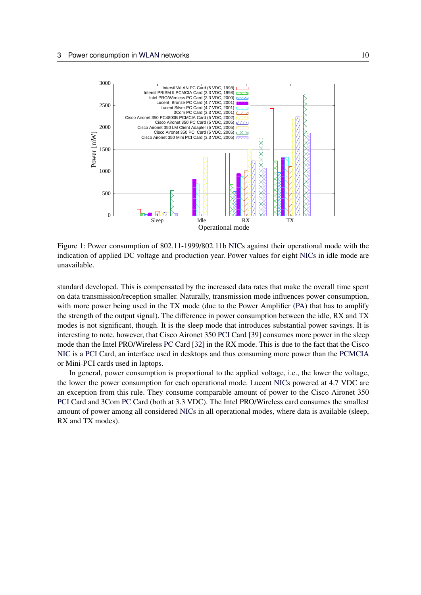

<span id="page-10-0"></span>Figure 1: Power consumption of 802.11-1999/802.11b [NICs](#page-2-1) against their operational mode with the indication of applied DC voltage and production year. Power values for eight [NICs](#page-2-1) in idle mode are unavailable.

standard developed. This is compensated by the increased data rates that make the overall time spent on data transmission/reception smaller. Naturally, transmission mode influences power consumption, with more power being used in the TX mode (due to the Power Amplifier [\(PA\)](#page-2-21) that has to amplify the strength of the output signal). The difference in power consumption between the idle, RX and TX modes is not significant, though. It is the sleep mode that introduces substantial power savings. It is interesting to note, however, that Cisco Aironet 350 [PCI](#page-2-20) Card [\[39\]](#page-27-15) consumes more power in the sleep mode than the Intel PRO/Wireless [PC](#page-2-19) Card [\[32\]](#page-27-8) in the RX mode. This is due to the fact that the Cisco [NIC](#page-2-1) is a [PCI](#page-2-20) Card, an interface used in desktops and thus consuming more power than the [PCMCIA](#page-2-4) or Mini-PCI cards used in laptops.

In general, power consumption is proportional to the applied voltage, i.e., the lower the voltage, the lower the power consumption for each operational mode. Lucent [NICs](#page-2-1) powered at 4.7 VDC are an exception from this rule. They consume comparable amount of power to the Cisco Aironet 350 [PCI](#page-2-20) Card and 3Com [PC](#page-2-19) Card (both at 3.3 VDC). The Intel PRO/Wireless card consumes the smallest amount of power among all considered [NICs](#page-2-1) in all operational modes, where data is available (sleep, RX and TX modes).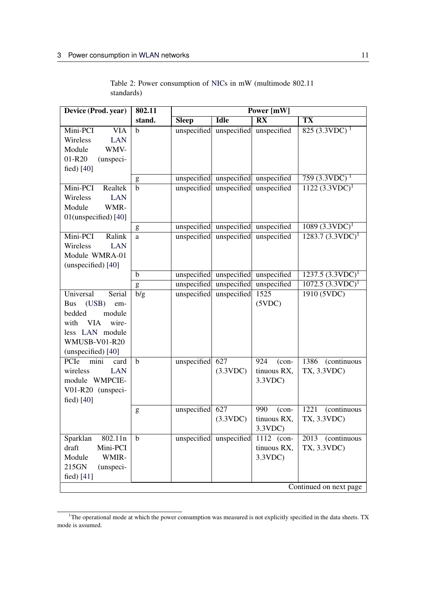<span id="page-11-0"></span>

| Device (Prod. year)                                                                                                                                                   | 802.11      | Power [mW]   |                         |                                              |                                                           |
|-----------------------------------------------------------------------------------------------------------------------------------------------------------------------|-------------|--------------|-------------------------|----------------------------------------------|-----------------------------------------------------------|
|                                                                                                                                                                       | stand.      | <b>Sleep</b> | <b>Idle</b>             | $\overline{\mathbf{R}}\overline{\mathbf{X}}$ | <b>TX</b>                                                 |
| Mini-PCI<br><b>VIA</b><br>Wireless<br><b>LAN</b><br>Module<br>WMV-<br>01-R20<br>(unspeci-<br>fied $[40]$                                                              | $\mathbf b$ | unspecified  | unspecified             | unspecified                                  | $825 \overline{(3.3 \text{VDC})}$ <sup>1</sup>            |
|                                                                                                                                                                       | ${\bf g}$   |              | unspecified unspecified | unspecified                                  | $759(3.3VDC)^1$                                           |
| Mini-PCI<br>Realtek<br><b>LAN</b><br>Wireless<br>WMR-<br>Module<br>01(unspecified) [40]                                                                               | $\mathbf b$ | unspecified  | unspecified             | unspecified                                  | $1122 (3.3 VDC)^1$                                        |
|                                                                                                                                                                       | g           |              | unspecified unspecified | unspecified                                  | $1089 (3.3$ VDC) <sup>1</sup>                             |
| Mini-PCI<br>Ralink<br><b>LAN</b><br>Wireless<br>Module WMRA-01<br>(unspecified) [40]                                                                                  | a           | unspecified  | unspecified             | unspecified                                  | $1283.7 (3.3$ VDC) <sup>1</sup>                           |
|                                                                                                                                                                       | b           | unspecified  | unspecified             | unspecified                                  | $1237.5 (3.3$ VDC) <sup>1</sup>                           |
|                                                                                                                                                                       | ${\sf g}$   | unspecified  | unspecified             | unspecified                                  | $1072.5 (3.3$ VDC $)^1$                                   |
| Universal<br>Serial<br>(USB)<br><b>Bus</b><br>em-<br>bedded<br>module<br><b>VIA</b><br>wire-<br>with<br>less LAN module<br><b>WMUSB-V01-R20</b><br>(unspecified) [40] | b/g         | unspecified  | unspecified             | 1525<br>(5VDC)                               | 1910 (5VDC)                                               |
| PCIe<br>mini<br>card<br>wireless<br><b>LAN</b><br>module WMPCIE-<br>V01-R20 (unspeci-<br>fied) [40]                                                                   | $\mathbf b$ | unspecified  | 627<br>(3.3VDC)         | 924<br>$(con-$<br>tinuous RX,<br>3.3VDC      | 1386<br>(continuous<br>TX, 3.3VDC)                        |
|                                                                                                                                                                       | g           | unspecified  | 627<br>(3.3VDC)         | 990<br>$(con-$<br>tinuous RX,<br>3.3VDC      | 1221<br>$\overline{(continuous)}$<br>TX, 3.3VDC)          |
| Sparklan<br>802.11n<br>draft<br>Mini-PCI<br>Module<br>WMIR-<br>215GN<br>(unspeci-<br>fied) [41]                                                                       | $\mathbf b$ |              | unspecified unspecified | 1112 (con-<br>tinuous RX,<br>3.3VDC          | 2013 (continuous<br>TX, 3.3VDC)<br>Continued on next page |

Table 2: Power consumption of [NICs](#page-2-1) in mW (multimode 802.11 standards)

<span id="page-11-1"></span><sup>&</sup>lt;sup>1</sup>The operational mode at which the power consumption was measured is not explicitly specified in the data sheets. TX mode is assumed.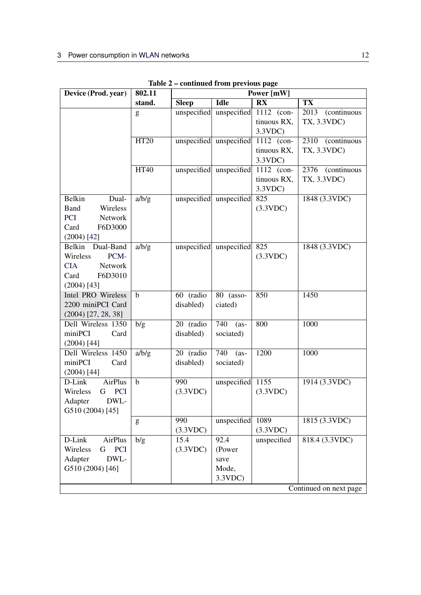| Device (Prod. year)                                                                                     | 802.11      | Power [mW]             |                                           |                                              |                                              |
|---------------------------------------------------------------------------------------------------------|-------------|------------------------|-------------------------------------------|----------------------------------------------|----------------------------------------------|
|                                                                                                         | stand.      | <b>Sleep</b>           | Idle                                      | $\overline{\mathbf{R}}\overline{\mathbf{X}}$ | $\overline{\textbf{T}}\textbf{X}$            |
|                                                                                                         | g           |                        | unspecified unspecified                   | 1112 (con-<br>tinuous RX,<br>3.3VDC          | <i>(continuous)</i><br>2013<br>TX, 3.3VDC)   |
|                                                                                                         | <b>HT20</b> |                        | unspecified unspecified                   | 1112 (con-<br>tinuous RX,<br>3.3VDC          | $\overline{2310}$ (continuous<br>TX, 3.3VDC) |
|                                                                                                         | <b>HT40</b> |                        | unspecified unspecified                   | 1112 (con-<br>tinuous RX,<br>3.3VDC          | $\overline{2376}$ (continuous<br>TX, 3.3VDC) |
| Belkin<br>Dual-<br><b>Band</b><br>Wireless<br><b>PCI</b><br>Network<br>Card<br>F6D3000<br>$(2004)$ [42] | a/b/g       |                        | unspecified unspecified                   | 825<br>(3.3VDC)                              | 1848 (3.3VDC)                                |
| Belkin Dual-Band<br>Wireless<br>PCM-<br><b>CIA</b><br>Network<br>Card<br>F6D3010<br>$(2004)$ [43]       | a/b/g       |                        | unspecified unspecified                   | 825<br>(3.3VDC)                              | 1848 (3.3VDC)                                |
| Intel PRO Wireless<br>2200 miniPCI Card<br>$(2004)$ [27, 28, 38]                                        | $\mathbf b$ | 60 (radio<br>disabled) | 80 (asso-<br>ciated)                      | 850                                          | 1450                                         |
| Dell Wireless 1350<br>miniPCI<br>Card<br>$(2004)$ [44]                                                  | b/g         | 20 (radio<br>disabled) | 740<br>$(as-)$<br>sociated)               | 800                                          | 1000                                         |
| Dell Wireless 1450<br>miniPCI<br>Card<br>(2004) [44]                                                    | a/b/g       | 20 (radio<br>disabled) | 740<br>$(as-)$<br>sociated)               | 1200                                         | 1000                                         |
| D-Link<br>AirPlus<br><b>PCI</b><br>Wireless<br>G<br>Adapter<br>DWL-<br>G510 (2004) [45]                 | $\mathbf b$ | 990<br>(3.3VDC)        | unspecified                               | 1155<br>(3.3VDC)                             | 1914 (3.3VDC)                                |
|                                                                                                         | ${\sf g}$   | 990<br>(3.3VDC)        | unspecified                               | 1089<br>(3.3VDC)                             | 1815 (3.3VDC)                                |
| D-Link<br>AirPlus<br>PCI<br>Wireless<br>G<br>DWL-<br>Adapter<br>G510 (2004) [46]                        | b/g         | 15.4<br>(3.3VDC)       | 92.4<br>(Power<br>save<br>Mode,<br>3.3VDC | unspecified                                  | 818.4 (3.3VDC)<br>Continued on next page     |
|                                                                                                         |             |                        |                                           |                                              |                                              |

Table 2 – continued from previous page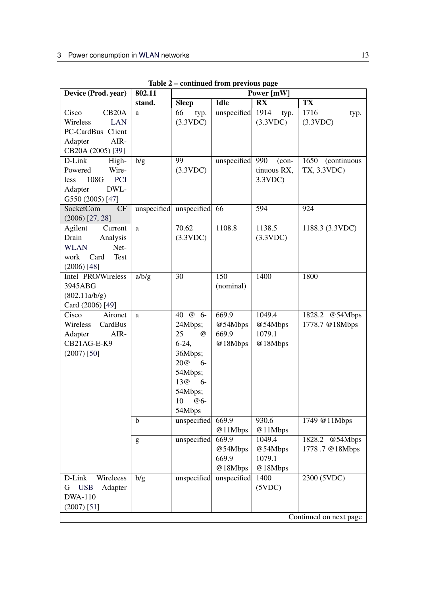| Device (Prod. year)         | 802.11 | Power [mW]                 |                        |                                              |                             |
|-----------------------------|--------|----------------------------|------------------------|----------------------------------------------|-----------------------------|
|                             | stand. | <b>Sleep</b>               | <b>Idle</b>            | $\overline{\mathbf{R}}\overline{\mathbf{X}}$ | <b>TX</b>                   |
| CB <sub>20</sub> A<br>Cisco | a      | 66<br>typ.                 | unspecified            | 1914<br>typ.                                 | 1716<br>typ.                |
| Wireless<br><b>LAN</b>      |        | (3.3VDC)                   |                        | (3.3VDC)                                     | (3.3VDC)                    |
| PC-CardBus Client           |        |                            |                        |                                              |                             |
| AIR-<br>Adapter             |        |                            |                        |                                              |                             |
| CB20A (2005) [39]           |        |                            |                        |                                              |                             |
| High-<br>D-Link             | b/g    | 99                         | unspecified            | 990<br>$(con-$                               | 1650<br><i>(continuous)</i> |
| Powered<br>Wire-            |        | (3.3VDC)                   |                        | tinuous RX,                                  | TX, 3.3VDC)                 |
| <b>PCI</b><br>less<br>108G  |        |                            |                        | 3.3VDC                                       |                             |
| DWL-<br>Adapter             |        |                            |                        |                                              |                             |
| G550 (2005) [47]            |        |                            |                        |                                              |                             |
| <b>SocketCom</b><br>CF      |        | unspecified unspecified 66 |                        | 594                                          | 924                         |
| $(2006)$ [27, 28]           |        |                            |                        |                                              |                             |
| Agilent<br>Current          | a      | 70.62                      | 1108.8                 | 1138.5                                       | 1188.3 (3.3VDC)             |
| Drain<br>Analysis           |        | (3.3VDC)                   |                        | (3.3VDC)                                     |                             |
| <b>WLAN</b><br>Net-         |        |                            |                        |                                              |                             |
| work Card<br>Test           |        |                            |                        |                                              |                             |
| $(2006)$ [48]               |        |                            |                        |                                              |                             |
| Intel PRO/Wireless          | a/b/g  | 30                         | 150                    | 1400                                         | 1800                        |
| 3945ABG                     |        |                            | (nominal)              |                                              |                             |
| (802.11a/b/g)               |        |                            |                        |                                              |                             |
| Card (2006) [49]            |        |                            |                        |                                              |                             |
| Cisco<br>Aironet            | a      | $40 \t@ 6-$                | 669.9                  | 1049.4                                       | 1828.2 @54Mbps              |
| Wireless<br>CardBus         |        | 24Mbps;                    | @54Mbps                | @54Mbps                                      | 1778.7 @18Mbps              |
| Adapter<br>AIR-             |        | 25<br>$\omega$             | 669.9                  | 1079.1                                       |                             |
| CB21AG-E-K9                 |        | $6-24,$                    | @18Mbps                | @18Mbps                                      |                             |
| $(2007)$ [50]               |        | 36Mbps;                    |                        |                                              |                             |
|                             |        | 20@<br>$6-$                |                        |                                              |                             |
|                             |        | 54Mbps;                    |                        |                                              |                             |
|                             |        | 13@<br>$6-$                |                        |                                              |                             |
|                             |        | 54Mbps;                    |                        |                                              |                             |
|                             |        | 10<br>$@6-$                |                        |                                              |                             |
|                             |        | 54Mbps                     |                        |                                              |                             |
|                             | b      | unspecified                | 669.9                  | 930.6                                        | 1749 @11Mbps                |
|                             |        |                            | @11Mbps<br>669.9       | @11Mbps<br>1049.4                            |                             |
|                             | g      | unspecified                | @54Mbps                |                                              | 1828.2 @54Mbps              |
|                             |        |                            | 669.9                  | @54Mbps<br>1079.1                            | 1778.7 @18Mbps              |
|                             |        |                            |                        |                                              |                             |
| Wireleess<br>D-Link         |        |                            | @18Mbps<br>unspecified | @18Mbps<br>1400                              | 2300 (5VDC)                 |
| <b>USB</b><br>Adapter<br>G  | b/g    | unspecified                |                        | (5VDC)                                       |                             |
| <b>DWA-110</b>              |        |                            |                        |                                              |                             |
| $(2007)$ [51]               |        |                            |                        |                                              |                             |
|                             |        |                            |                        |                                              |                             |
|                             |        |                            |                        |                                              | Continued on next page      |

Table 2 – continued from previous page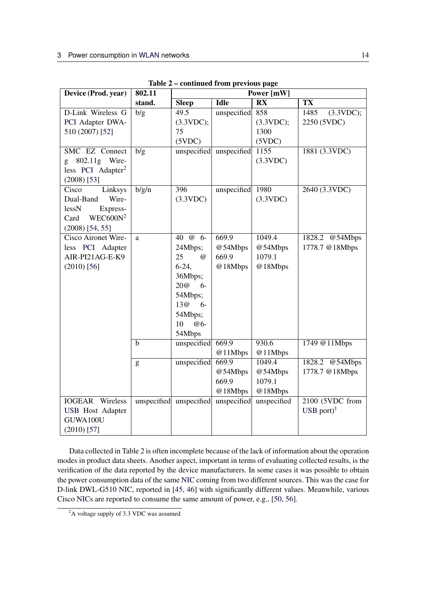| Device (Prod. year)           | 802.11       | Power [mW]                          |                         |                                              |                                  |
|-------------------------------|--------------|-------------------------------------|-------------------------|----------------------------------------------|----------------------------------|
|                               | stand.       | <b>Sleep</b>                        | <b>Idle</b>             | $\overline{\mathbf{R}}\overline{\mathbf{X}}$ | TX                               |
| D-Link Wireless G             | b/g          | $\overline{49.5}$                   | unspecified             | 858                                          | 1485<br>(3.3VDC);                |
| PCI Adapter DWA-              |              | (3.3VDC);                           |                         | (3.3VDC);                                    | 2250 (5VDC)                      |
| 510 (2007) [52]               |              | 75                                  |                         | 1300                                         |                                  |
|                               |              | (5VDC)                              |                         | (5VDC)                                       |                                  |
| SMC EZ Connect                | b/g          |                                     | unspecified unspecified | 1155                                         | 1881 (3.3VDC)                    |
| g 802.11g Wire-               |              |                                     |                         | (3.3VDC)                                     |                                  |
| less PCI Adapter <sup>2</sup> |              |                                     |                         |                                              |                                  |
| $(2008)$ [53]                 |              |                                     |                         |                                              |                                  |
| Linksys<br>Cisco              | b/g/n        | 396                                 | unspecified             | 1980                                         | 2640 (3.3VDC)                    |
| Wire-<br>Dual-Band            |              | (3.3VDC)                            |                         | (3.3VDC)                                     |                                  |
| lessN<br>Express-             |              |                                     |                         |                                              |                                  |
| $WEC600N^2$<br>Card           |              |                                     |                         |                                              |                                  |
| $(2008)$ [54, 55]             |              |                                     |                         |                                              |                                  |
| Cisco Aironet Wire-           | a            | 40 @ 6-                             | 669.9                   | 1049.4                                       | @54Mbps<br>1828.2                |
| less PCI Adapter              |              | 24Mbps;                             | @54Mbps                 | @54Mbps                                      | 1778.7 @18Mbps                   |
| AIR-PI21AG-E-K9               |              | 25<br>$\omega$                      | 669.9                   | 1079.1                                       |                                  |
| $(2010)$ [56]                 |              | $6-24,$                             | @18Mbps                 | @18Mbps                                      |                                  |
|                               |              | 36Mbps;                             |                         |                                              |                                  |
|                               |              | 20@<br>$6-$                         |                         |                                              |                                  |
|                               |              | 54Mbps;                             |                         |                                              |                                  |
|                               |              | 13@<br>$6-$                         |                         |                                              |                                  |
|                               |              | 54Mbps;                             |                         |                                              |                                  |
|                               |              | 10<br>@6-                           |                         |                                              |                                  |
|                               |              | 54Mbps                              |                         |                                              |                                  |
|                               | $\mathbf b$  | unspecified                         | 669.9                   | 930.6                                        | 1749 @11Mbps                     |
|                               |              |                                     | @11Mbps<br>669.9        | @11Mbps<br>1049.4                            |                                  |
|                               | $\mathbf{g}$ | unspecified                         | @54Mbps                 |                                              | 1828.2 @54Mbps<br>1778.7 @18Mbps |
|                               |              |                                     | 669.9                   | @54Mbps<br>1079.1                            |                                  |
|                               |              |                                     |                         |                                              |                                  |
| <b>IOGEAR</b> Wireless        |              | unspecified unspecified unspecified | @18Mbps                 | @18Mbps<br>unspecified                       | 2100 (5VDC from                  |
| <b>USB</b> Host Adapter       |              |                                     |                         |                                              | USB port $)^1$                   |
| GUWA100U                      |              |                                     |                         |                                              |                                  |
| $(2010)$ [57]                 |              |                                     |                         |                                              |                                  |
|                               |              |                                     |                         |                                              |                                  |

Table 2 – continued from previous page

Data collected in Table [2](#page-11-0) is often incomplete because of the lack of information about the operation modes in product data sheets. Another aspect, important in terms of evaluating collected results, is the verification of the data reported by the device manufacturers. In some cases it was possible to obtain the power consumption data of the same [NIC](#page-2-1) coming from two different sources. This was the case for D-link DWL-G510 [NIC,](#page-2-1) reported in [\[45,](#page-27-21) [46\]](#page-27-22) with significantly different values. Meanwhile, various Cisco [NICs](#page-2-1) are reported to consume the same amount of power, e.g., [\[50,](#page-28-2) [56\]](#page-28-8).

<span id="page-14-0"></span><sup>&</sup>lt;sup>2</sup>A voltage supply of 3.3 VDC was assumed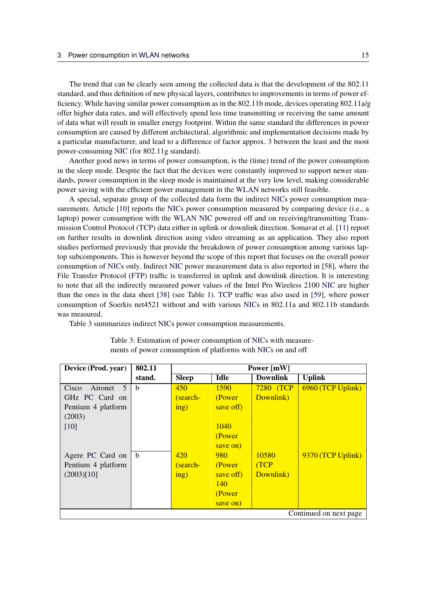The trend that can be clearly seen among the collected data is that the development of the 802.11 standard, and thus definition of new physical layers, contributes to improvements in terms of power efficiency. While having similar power consumption as in the 802.11b mode, devices operating 802.11a/g offer higher data rates, and will effectively spend less time transmitting or receiving the same amount of data what will result in smaller energy footprint. Within the same standard the differences in power consumption are caused by different architectural, algorithmic and implementation decisions made by a particular manufacturer, and lead to a difference of factor approx. 3 between the least and the most power-consuming [NIC](#page-2-1) (for 802.11g standard).

Another good news in terms of power consumption, is the (time) trend of the power consumption in the sleep mode. Despite the fact that the devices were constantly improved to support newer standards, power consumption in the sleep mode is maintained at the very low level, making considerable power saving with the efficient power management in the [WLAN](#page-2-2) networks still feasible.

A special, separate group of the collected data form the indirect [NICs](#page-2-1) power consumption mea-surements. Article [\[10\]](#page-26-6) reports the [NICs](#page-2-1) power consumption measured by comparing device (i.e., a laptop) power consumption with the [WLAN](#page-2-2) [NIC](#page-2-1) powered off and on receiving/transmitting Transmission Control Protocol [\(TCP\)](#page-2-23) data either in uplink or downlink direction. Somavat et al. [\[11\]](#page-26-7) report on further results in downlink direction using video streaming as an application. They also report studies performed previously that provide the breakdown of power consumption among various laptop subcomponents. This is however beyond the scope of this report that focuses on the overall power consumption of [NICs](#page-2-1) only. Indirect [NIC](#page-2-1) power measurement data is also reported in [\[58\]](#page-28-10), where the File Transfer Protocol [\(FTP\)](#page-2-24) traffic is transferred in uplink and downlink direction. It is interesting to note that all the indirectly measured power values of the Intel Pro Wireless 2100 [NIC](#page-2-1) are higher than the ones in the data sheet [\[38\]](#page-27-14) (see Table [1\)](#page-8-0). [TCP](#page-2-23) traffic was also used in [\[59\]](#page-28-11), where power consumption of Soerkis net4521 without and with various [NICs](#page-2-1) in 802.11a and 802.11b standards was measured.

<span id="page-15-0"></span>Table [3](#page-15-0) summarizes indirect [NICs](#page-2-1) power consumption measurements.

| Device (Prod. year)    | 802.11 | Power [mW]                      |            |                 |                        |
|------------------------|--------|---------------------------------|------------|-----------------|------------------------|
|                        | stand. | <b>Sleep</b>                    | Idle       | <b>Downlink</b> | <b>Uplink</b>          |
| Aironet<br>Cisco<br>.5 | b      | 450                             | 1590       | 7280 (TCP       | 6960 (TCP Uplink)      |
| GHz PC Card on         |        | (search-                        | (Power     | Downlink)       |                        |
| Pentium 4 platform     |        | $\frac{\text{ing}}{\text{ing}}$ | save off)  |                 |                        |
| (2003)                 |        |                                 |            |                 |                        |
| [10]                   |        |                                 | 1040       |                 |                        |
|                        |        |                                 | (Power     |                 |                        |
|                        |        |                                 | save on)   |                 |                        |
| Agere PC Card on       | b      | 420                             | 980        | 10580           | 9370 (TCP Uplink)      |
| Pentium 4 platform     |        | (search-                        | (Power     | (TCP            |                        |
| (2003)[10]             |        | $\frac{\text{ing}}{\text{ing}}$ | save off)  | Downlink)       |                        |
|                        |        |                                 | <b>140</b> |                 |                        |
|                        |        |                                 | (Power     |                 |                        |
|                        |        |                                 | save on)   |                 |                        |
|                        |        |                                 |            |                 | Continued on next page |

Table 3: Estimation of power consumption of [NICs](#page-2-1) with measurements of power consumption of platforms with [NICs](#page-2-1) on and off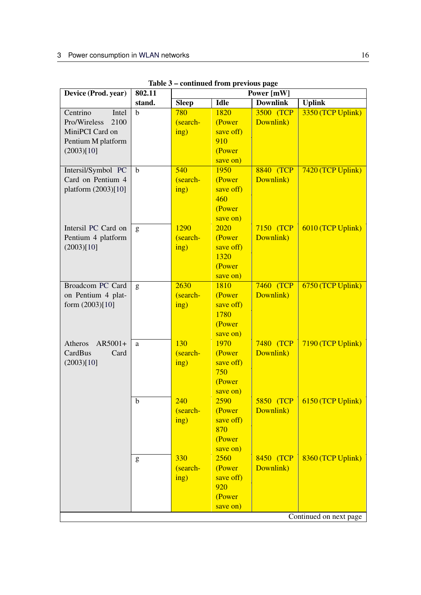| Device (Prod. year)  | 802.11      | Power [mW]   |             |                   |                        |
|----------------------|-------------|--------------|-------------|-------------------|------------------------|
|                      | stand.      | <b>Sleep</b> | <b>Idle</b> | <b>Downlink</b>   | <b>Uplink</b>          |
| Centrino<br>Intel    | b           | 780          | 1820        | 3500 (TCP         | 3350 (TCP Uplink)      |
| Pro/Wireless<br>2100 |             | (search-     | (Power      | Downlink)         |                        |
| MiniPCI Card on      |             | ing)         | save off)   |                   |                        |
| Pentium M platform   |             |              | 910         |                   |                        |
| (2003)[10]           |             |              | (Power      |                   |                        |
|                      |             |              | save on)    |                   |                        |
| Intersil/Symbol PC   | $\mathbf b$ | 540          | 1950        | 8840 (TCP         | 7420 (TCP Uplink)      |
| Card on Pentium 4    |             | (search-     | (Power      | Downlink)         |                        |
| platform (2003)[10]  |             | ing)         | save off)   |                   |                        |
|                      |             |              | 460         |                   |                        |
|                      |             |              | (Power      |                   |                        |
|                      |             |              | save on)    |                   |                        |
| Intersil PC Card on  | g           | 1290         | 2020        | 7150 (TCP         | 6010 (TCP Uplink)      |
| Pentium 4 platform   |             | (search-     | (Power      | Downlink)         |                        |
| (2003)[10]           |             | ing)         | save off)   |                   |                        |
|                      |             |              | 1320        |                   |                        |
|                      |             |              | (Power      |                   |                        |
|                      |             |              | save on)    |                   |                        |
| Broadcom PC Card     | g           | 2630         | 1810        | <b>7460 (TCP)</b> | 6750 (TCP Uplink)      |
| on Pentium 4 plat-   |             | (search-     | (Power      | Downlink)         |                        |
| form $(2003)[10]$    |             | ing)         | save off)   |                   |                        |
|                      |             |              | 1780        |                   |                        |
|                      |             |              | (Power      |                   |                        |
|                      |             |              | save on)    |                   |                        |
| Atheros<br>AR5001+   | a           | 130          | 1970        | 7480 (TCP         | 7190 (TCP Uplink)      |
| CardBus<br>Card      |             | (search-     | (Power      | Downlink)         |                        |
| (2003)[10]           |             | ing)         | save off)   |                   |                        |
|                      |             |              | 750         |                   |                        |
|                      |             |              | (Power      |                   |                        |
|                      |             |              | save on)    |                   |                        |
|                      | b           | 240          | 2590        | 5850 (TCP         | 6150 (TCP Uplink)      |
|                      |             | (search-     | (Power      | Downlink)         |                        |
|                      |             | ing)         | save off)   |                   |                        |
|                      |             |              | 870         |                   |                        |
|                      |             |              | (Power      |                   |                        |
|                      |             |              | save on)    |                   |                        |
|                      | g           | 330          | 2560        | 8450 (TCP         | 8360 (TCP Uplink)      |
|                      |             | (search-     | (Power      | Downlink)         |                        |
|                      |             | ing)         | save off)   |                   |                        |
|                      |             |              | 920         |                   |                        |
|                      |             |              | (Power      |                   |                        |
|                      |             |              | save on)    |                   |                        |
|                      |             |              |             |                   | Continued on next page |

Table 3 – continued from previous page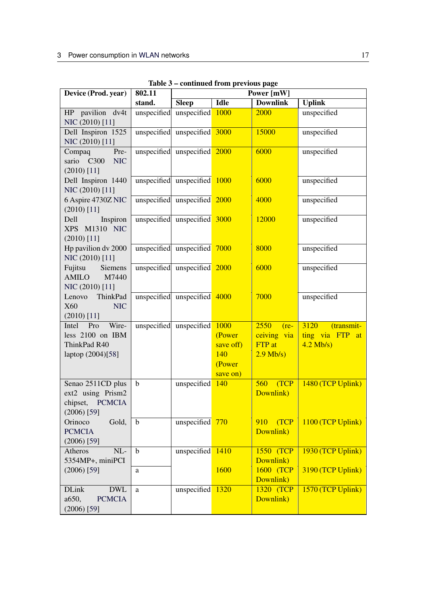| Device (Prod. year)                                                             | 802.11      | Power [mW]                   |                                                          |                                                        |                                                      |  |
|---------------------------------------------------------------------------------|-------------|------------------------------|----------------------------------------------------------|--------------------------------------------------------|------------------------------------------------------|--|
|                                                                                 | stand.      | <b>Sleep</b>                 | <b>Idle</b>                                              | <b>Downlink</b>                                        | <b>Uplink</b>                                        |  |
| HP pavilion dv4t<br>NIC (2010) [11]                                             |             | unspecified unspecified 1000 |                                                          | 2000                                                   | unspecified                                          |  |
| Dell Inspiron 1525<br>NIC (2010) [11]                                           |             | unspecified unspecified 3000 |                                                          | 15000                                                  | unspecified                                          |  |
| Compaq<br>Pre-<br>sario C300<br><b>NIC</b><br>$(2010)$ [11]                     |             | unspecified unspecified 2000 |                                                          | 6000                                                   | unspecified                                          |  |
| Dell Inspiron 1440<br>NIC (2010) [11]                                           |             | unspecified unspecified 1000 |                                                          | 6000                                                   | unspecified                                          |  |
| 6 Aspire 4730Z NIC<br>$(2010)$ [11]                                             |             | unspecified unspecified 2000 |                                                          | 4000                                                   | unspecified                                          |  |
| Inspiron<br>Dell<br>XPS M1310 NIC<br>$(2010)$ [11]                              |             | unspecified unspecified 3000 |                                                          | 12000                                                  | unspecified                                          |  |
| Hp pavilion dv 2000<br>NIC (2010) [11]                                          |             | unspecified unspecified 7000 |                                                          | 8000                                                   | unspecified                                          |  |
| Fujitsu<br>Siemens<br>AMILO<br>M7440<br>NIC (2010) [11]                         |             | unspecified unspecified 2000 |                                                          | 6000                                                   | unspecified                                          |  |
| Lenovo ThinkPad<br><b>X60</b><br><b>NIC</b><br>$(2010)$ [11]                    |             | unspecified unspecified 4000 |                                                          | 7000                                                   | unspecified                                          |  |
| Intel<br>Pro<br>Wire-<br>less 2100 on IBM<br>ThinkPad R40<br>laptop (2004)[58]  |             | unspecified unspecified      | 1000<br>(Power<br>save off)<br>140<br>(Power<br>save on) | 2550<br>$(re-$<br>ceiving via<br>FTP at<br>$2.9$ Mb/s) | 3120<br>(transmit-<br>ting via FTP at<br>$4.2$ Mb/s) |  |
| Senao 2511CD plus<br>ext2 using Prism2<br>chipset, PCMCIA<br>$(2006)$ [59]      | $\mathbf b$ | unspecified                  | 140                                                      | 560<br>(TCP<br>Downlink)                               | 1480 (TCP Uplink)                                    |  |
| Gold,<br>Orinoco<br><b>PCMCIA</b><br>$(2006)$ [59]                              | $\mathbf b$ | unspecified 770              |                                                          | (TCP<br>910<br>Downlink)                               | 1100 (TCP Uplink)                                    |  |
| NL-<br>Atheros<br>5354MP+, miniPCI                                              | $\mathbf b$ | unspecified $1410$           |                                                          | 1550 (TCP<br>Downlink)                                 | 1930 (TCP Uplink)                                    |  |
| $(2006)$ [59]                                                                   | a           |                              | 1600                                                     | 1600 (TCP<br>Downlink)                                 | 3190 (TCP Uplink)                                    |  |
| <b>DLink</b><br>$\operatorname{DWL}$<br><b>PCMCIA</b><br>a650,<br>$(2006)$ [59] | a           | unspecified                  | 1320                                                     | 1320 (TCP<br>Downlink)                                 | 1570 (TCP Uplink)                                    |  |

Table 3 – continued from previous page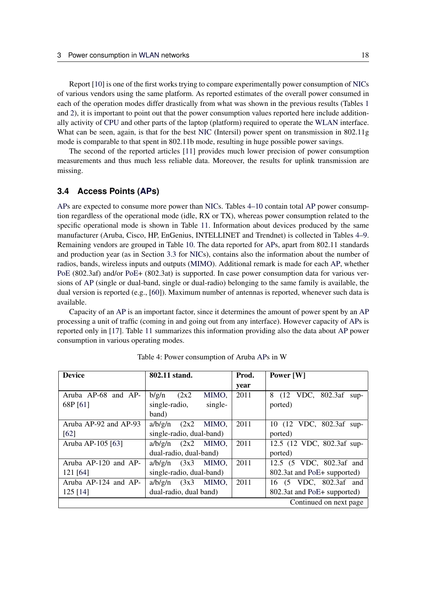Report [\[10\]](#page-26-6) is one of the first works trying to compare experimentally power consumption of [NICs](#page-2-1) of various vendors using the same platform. As reported estimates of the overall power consumed in each of the operation modes differ drastically from what was shown in the previous results (Tables [1](#page-8-0) and [2\)](#page-11-0), it is important to point out that the power consumption values reported here include additionally activity of [CPU](#page-2-10) and other parts of the laptop (platform) required to operate the [WLAN](#page-2-2) interface. What can be seen, again, is that for the best [NIC](#page-2-1) (Intersil) power spent on transmission in 802.11g mode is comparable to that spent in 802.11b mode, resulting in huge possible power savings.

The second of the reported articles [\[11\]](#page-26-7) provides much lower precision of power consumption measurements and thus much less reliable data. Moreover, the results for uplink transmission are missing.

#### <span id="page-18-0"></span>**3.4 Access Points [\(APs](#page-2-0))**

[APs](#page-2-0) are expected to consume more power than [NICs](#page-2-1). Tables [4](#page-18-1)[–10](#page-23-0) contain total [AP](#page-2-0) power consumption regardless of the operational mode (idle, RX or TX), whereas power consumption related to the specific operational mode is shown in Table [11.](#page-24-0) Information about devices produced by the same manufacturer (Aruba, Cisco, HP, EnGenius, INTELLINET and Trendnet) is collected in Tables [4](#page-18-1)[–9.](#page-22-0) Remaining vendors are grouped in Table [10.](#page-23-0) The data reported for [APs](#page-2-0), apart from 802.11 standards and production year (as in Section [3.3](#page-7-1) for [NICs](#page-2-1)), contains also the information about the number of radios, bands, wireless inputs and outputs [\(MIMO\)](#page-2-14). Additional remark is made for each [AP,](#page-2-0) whether [PoE](#page-2-16) (802.3af) and/or [PoE+](#page-2-16) (802.3at) is supported. In case power consumption data for various versions of [AP](#page-2-0) (single or dual-band, single or dual-radio) belonging to the same family is available, the dual version is reported (e.g., [\[60\]](#page-28-12)). Maximum number of antennas is reported, whenever such data is available.

Capacity of an [AP](#page-2-0) is an important factor, since it determines the amount of power spent by an [AP](#page-2-0) processing a unit of traffic (coming in and going out from any interface). However capacity of [APs](#page-2-0) is reported only in [\[17\]](#page-26-13). Table [11](#page-24-0) summarizes this information providing also the data about [AP](#page-2-0) power consumption in various operating modes.

<span id="page-18-1"></span>

| <b>Device</b>            | 802.11 stand.              | Prod. | Power [W]                      |
|--------------------------|----------------------------|-------|--------------------------------|
|                          |                            | year  |                                |
| Aruba AP-68 and AP-      | (2x2)<br>MIMO,<br>b/g/n    | 2011  | 8 (12 VDC, 802.3af<br>$\sup$ - |
| 68P [61]                 | single-<br>single-radio,   |       | ported)                        |
|                          | band)                      |       |                                |
| Aruba AP-92 and AP-93    | $a/b/g/n$ $(2x2)$<br>MIMO. | 2011  | 10 (12 VDC, 802.3af sup-       |
| [62]                     | single-radio, dual-band)   |       | ported)                        |
| Aruba AP-105 [63]        | $a/b/g/n$ $(2x2$ MIMO,     | 2011  | 12.5 (12 VDC, 802.3af sup-     |
|                          | dual-radio, dual-band)     |       | ported)                        |
| Aruba AP-120 and AP-     | MIMO.<br>(3x3)<br>a/b/g/n  | 2011  | 12.5 (5 VDC, 802.3af and       |
| 121 [64]                 | single-radio, dual-band)   |       | 802.3at and PoE+ supported)    |
| Aruba $AP-124$ and $AP-$ | (3x3)<br>MIMO,<br>a/b/g/n  | 2011  | 16 (5 VDC, 802.3af and         |
| $125$ [14]               | dual-radio, dual band)     |       | 802.3at and PoE+ supported)    |
|                          |                            |       | Continued on next page         |

Table 4: Power consumption of Aruba [APs](#page-2-0) in W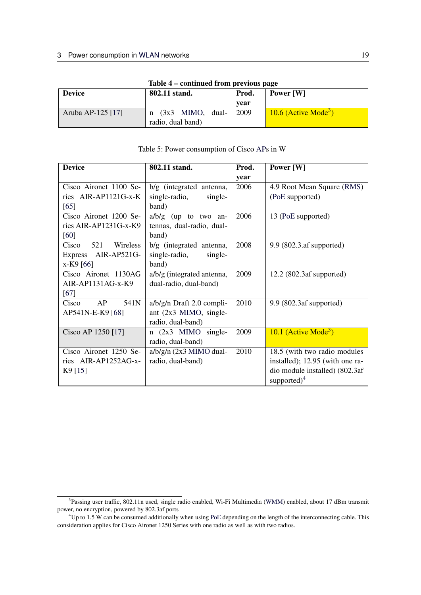| $1400C + 601000C$ |                                              |      |                                    |  |  |
|-------------------|----------------------------------------------|------|------------------------------------|--|--|
| <b>Device</b>     | 802.11 stand.                                |      | Power [W]                          |  |  |
|                   |                                              | vear |                                    |  |  |
| Aruba AP-125 [17] | $(3x3$ MIMO, dual-<br>n<br>radio, dual band) | 2009 | $10.6$ (Active Mode <sup>3</sup> ) |  |  |

#### Table 4 – continued from previous page

| <b>Device</b>            | 802.11 stand.               | Prod. | Power [W]                        |  |  |
|--------------------------|-----------------------------|-------|----------------------------------|--|--|
|                          |                             | year  |                                  |  |  |
| Cisco Aironet 1100 Se-   | b/g (integrated antenna,    | 2006  | 4.9 Root Mean Square (RMS)       |  |  |
| ries AIR-AP1121G-x-K     | single-radio,<br>single-    |       | (PoE supported)                  |  |  |
| [65]                     | band)                       |       |                                  |  |  |
| Cisco Aironet 1200 Se-   | $a/b/g$ (up to two an-      | 2006  | 13 (PoE supported)               |  |  |
| ries AIR-AP1231G-x-K9    | tennas, dual-radio, dual-   |       |                                  |  |  |
| [60]                     | band)                       |       |                                  |  |  |
| 521<br>Wireless<br>Cisco | b/g (integrated antenna,    | 2008  | 9.9 (802.3.af supported)         |  |  |
| Express AIR-AP521G-      | single-radio,<br>single-    |       |                                  |  |  |
| x-K9 [66]                | band)                       |       |                                  |  |  |
| Cisco Aironet 1130AG     | a/b/g (integrated antenna,  | 2009  | $12.2$ (802.3af supported)       |  |  |
| $AIR-AP1131AG-x-K9$      | dual-radio, dual-band)      |       |                                  |  |  |
| [67]                     |                             |       |                                  |  |  |
| 541N<br>AP<br>Cisco      | $a/b/g/n$ Draft 2.0 compli- | 2010  | 9.9 (802.3af supported)          |  |  |
| AP541N-E-K9 [68]         | ant (2x3 MIMO, single-      |       |                                  |  |  |
|                          | radio, dual-band)           |       |                                  |  |  |
| Cisco AP 1250 [17]       | $n(2x3$ MIMO single-        | 2009  | 10.1 (Active Mode <sup>3</sup> ) |  |  |
|                          | radio, dual-band)           |       |                                  |  |  |
| Cisco Aironet 1250 Se-   | $a/b/g/n$ (2x3 MIMO dual-   | 2010  | 18.5 (with two radio modules     |  |  |
| ries AIR-AP1252AG-x-     | radio, dual-band)           |       | installed); 12.95 (with one ra-  |  |  |
| $K9$ [15]                |                             |       | dio module installed) (802.3af   |  |  |
|                          |                             |       | supported) $4$                   |  |  |

#### Table 5: Power consumption of Cisco [APs](#page-2-0) in W

<span id="page-19-0"></span><sup>&</sup>lt;sup>3</sup>Passing user traffic, 802.11n used, single radio enabled, Wi-Fi Multimedia [\(WMM\)](#page-2-26) enabled, about 17 dBm transmit power, no encryption, powered by 802.3af ports

<span id="page-19-1"></span><sup>&</sup>lt;sup>4</sup>Up to 1.5 W can be consumed additionally when using [PoE](#page-2-16) depending on the length of the interconnecting cable. This consideration applies for Cisco Aironet 1250 Series with one radio as well as with two radios.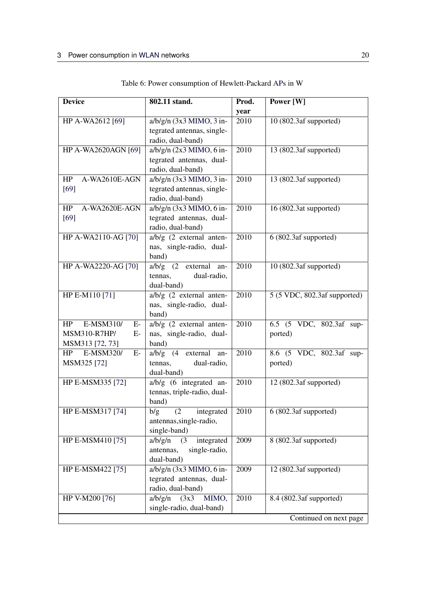<span id="page-20-0"></span>

| <b>Device</b>           | 802.11 stand.                     | Prod. | Power [W]                          |
|-------------------------|-----------------------------------|-------|------------------------------------|
|                         |                                   | year  |                                    |
| HP A-WA2612 [69]        | $a/b/g/n$ (3x3 MIMO, 3 in-        | 2010  | 10(802.3af supported)              |
|                         | tegrated antennas, single-        |       |                                    |
|                         | radio, dual-band)                 |       |                                    |
| HP A-WA2620AGN [69]     | $a/b/g/n$ (2x3 MIMO, 6 in-        | 2010  | 13 (802.3af supported)             |
|                         | tegrated antennas, dual-          |       |                                    |
|                         | radio, dual-band)                 |       |                                    |
| A-WA2610E-AGN<br>HP     | $a/b/g/n$ (3x3 MIMO, 3 in-        | 2010  | 13 (802.3af supported)             |
| $[69]$                  | tegrated antennas, single-        |       |                                    |
|                         | radio, dual-band)                 |       |                                    |
| A-WA2620E-AGN<br>HP     | $a/b/g/n$ (3x3 MIMO, 6 in-        | 2010  | 16 (802.3at supported)             |
| $[69]$                  | tegrated antennas, dual-          |       |                                    |
|                         | radio, dual-band)                 |       |                                    |
| HP A-WA2110-AG [70]     | $a/b/g$ (2 external anten-        | 2010  | $\overline{6}$ (802.3af supported) |
|                         | nas, single-radio, dual-          |       |                                    |
|                         | band)                             |       |                                    |
| HP A-WA2220-AG [70]     | $a/b/g$ $(2 \text{ external}$ an- | 2010  | 10 (802.3af supported)             |
|                         | tennas,<br>dual-radio,            |       |                                    |
|                         | dual-band)                        |       |                                    |
| HP E-M110 [71]          | $a/b/g$ (2 external anten-        | 2010  | 5 (5 VDC, 802.3af supported)       |
|                         | nas, single-radio, dual-          |       |                                    |
|                         | band)                             |       |                                    |
| E-MSM310/<br>HP<br>$E-$ | $a/b/g$ (2 external anten-        | 2010  | 6.5 (5 VDC, 802.3af sup-           |
| MSM310-R7HP/<br>$E-$    | nas, single-radio, dual-          |       | ported)                            |
| MSM313 [72, 73]         | band)                             |       |                                    |
| HP<br>E-MSM320/<br>E-   | $a/b/g$ (4 external an-           | 2010  | 8.6 (5 VDC, 802.3af sup-           |
| MSM325 [72]             | tennas,<br>dual-radio,            |       | ported)                            |
|                         | dual-band)                        |       |                                    |
| HP E-MSM335 [72]        | $a/b/g$ (6 integrated an-         | 2010  | 12 (802.3af supported)             |
|                         | tennas, triple-radio, dual-       |       |                                    |
|                         | band)                             |       |                                    |
| HP E-MSM317 [74]        | (2 integrated<br>b/g              | 2010  | 6 (802.3af supported)              |
|                         | antennas, single-radio,           |       |                                    |
|                         | single-band)                      |       |                                    |
| HP E-MSM410 [75]        | integrated<br>a/b/g/n<br>(3)      | 2009  | 8 (802.3af supported)              |
|                         | single-radio,<br>antennas,        |       |                                    |
|                         | dual-band)                        |       |                                    |
| HP E-MSM422 [75]        | $a/b/g/n$ (3x3 MIMO, 6 in-        | 2009  | 12 (802.3af supported)             |
|                         | tegrated antennas, dual-          |       |                                    |
|                         | radio, dual-band)                 |       |                                    |
| HP V-M200 [76]          | a/b/g/n<br>(3x3)<br>MIMO,         | 2010  | 8.4 (802.3af supported)            |
|                         | single-radio, dual-band)          |       |                                    |
|                         |                                   |       | Continued on next page             |

Table 6: Power consumption of Hewlett-Packard [APs](#page-2-0) in W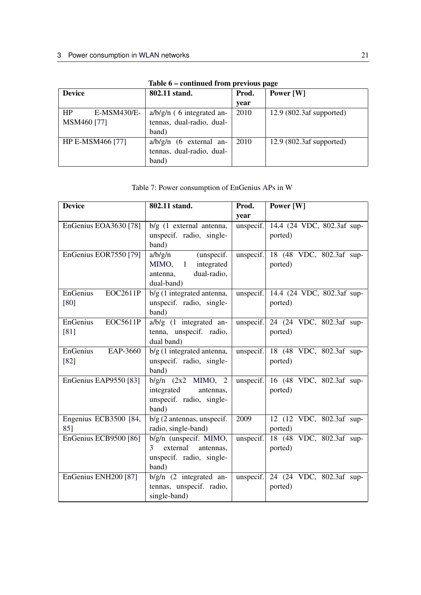| Tuble of continuou from previous puge |                             |      |                            |  |  |
|---------------------------------------|-----------------------------|------|----------------------------|--|--|
| <b>Device</b>                         | 802.11 stand.<br>Prod.      |      | Power [W]                  |  |  |
|                                       |                             | year |                            |  |  |
| HP<br>E-MSM430/E-                     | $a/b/g/n$ (6 integrated an- | 2010 | $12.9$ (802.3af supported) |  |  |
| MSM460 [77]                           | tennas, dual-radio, dual-   |      |                            |  |  |
|                                       | band)                       |      |                            |  |  |
| HP E-MSM466 [77]                      | $a/b/g/n$ (6 external an-   | 2010 | $12.9$ (802.3af supported) |  |  |
|                                       | tennas, dual-radio, dual-   |      |                            |  |  |
|                                       | band)                       |      |                            |  |  |

## Table 6 – continued from previous page

## Table 7: Power consumption of EnGenius [APs](#page-2-0) in W

<span id="page-21-0"></span>

| <b>Device</b>                   | 802.11 stand.                                        | Prod.     | Power [W]                                                                |
|---------------------------------|------------------------------------------------------|-----------|--------------------------------------------------------------------------|
|                                 |                                                      | year      |                                                                          |
| EnGenius EOA3630 [78]           | $b/g$ (1 external antenna,                           | unspecif. | 14.4 (24 VDC, 802.3af sup-                                               |
|                                 | unspecif. radio, single-                             |           | ported)                                                                  |
|                                 | band)                                                |           |                                                                          |
| EnGenius EOR7550 [79]           | a/b/g/n<br>(unspecif.                                | unspecif. | 18 (48 VDC, 802.3af sup-                                                 |
|                                 | integrated<br>MIMO, 1                                |           | ported)                                                                  |
|                                 | dual-radio,<br>antenna,                              |           |                                                                          |
|                                 | dual-band)                                           |           |                                                                          |
| <b>EOC2611P</b><br>EnGenius     | $b/g$ (1 integrated antenna,                         |           | unspecif. $\vert$ 14.4 (24 VDC, 802.3af sup-                             |
| $[80]$                          | unspecif. radio, single-                             |           | ported)                                                                  |
|                                 | band)                                                |           |                                                                          |
| <b>EOC5611P</b><br>EnGenius     | $a/b/g$ (1 integrated an-                            |           | unspecif. $\begin{vmatrix} 24 & 24 & 24 \end{vmatrix}$ VDC, 802.3af sup- |
| [81]                            | tenna, unspecif. radio,                              |           | ported)                                                                  |
|                                 | dual band)                                           |           |                                                                          |
| EnGenius<br>EAP-3660            | b/g (1 integrated antenna,                           | unspecif. | 18 (48 VDC, 802.3af sup-                                                 |
| $[82]$                          | unspecif. radio, single-                             |           | ported)                                                                  |
|                                 | band)                                                |           |                                                                          |
| EnGenius EAP9550 [83]           | $b/g/n$ $(2x2$ MIMO, 2                               | unspecif. | 16 (48 VDC, 802.3af sup-                                                 |
|                                 | integrated<br>antennas,                              |           | ported)                                                                  |
|                                 | unspecif. radio, single-                             |           |                                                                          |
|                                 | band)<br>$b/g$ (2 antennas, unspecif.                | 2009      |                                                                          |
| Engenius ECB3500 [84,<br>85]    |                                                      |           | 12 (12 VDC, 802.3af sup-                                                 |
| EnGenius ECB9500 [86]           | radio, single-band)                                  | unspecif. | ported)<br>18 (48 VDC, 802.3af sup-                                      |
|                                 | b/g/n (unspecif. MIMO,<br>external<br>3<br>antennas, |           | ported)                                                                  |
|                                 | unspecif. radio, single-                             |           |                                                                          |
|                                 | band)                                                |           |                                                                          |
| EnGenius ENH200 <sup>[87]</sup> | $b/g/n$ (2 integrated an-                            | unspecif. | 24 (24 VDC, 802.3af sup-                                                 |
|                                 | tennas, unspecif. radio,                             |           | ported)                                                                  |
|                                 | single-band)                                         |           |                                                                          |
|                                 |                                                      |           |                                                                          |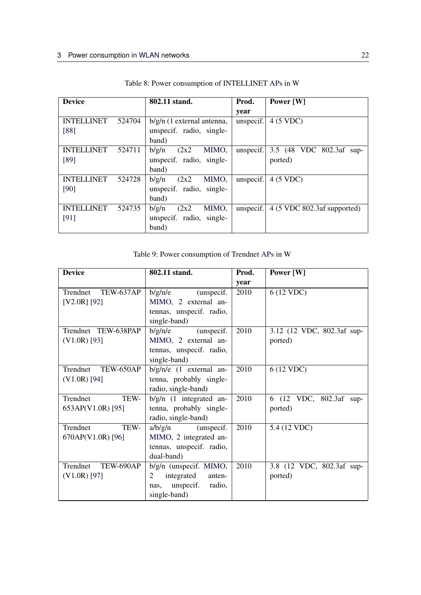| <b>Device</b>     |        | 802.11 stand.                | Prod.     | Power [W]                                     |
|-------------------|--------|------------------------------|-----------|-----------------------------------------------|
|                   |        |                              | year      |                                               |
| <b>INTELLINET</b> | 524704 | $b/g/n$ (1 external antenna, | unspecif. | 4 (5 VDC)                                     |
| [88]              |        | unspecif. radio, single-     |           |                                               |
|                   |        | band)                        |           |                                               |
| <b>INTELLINET</b> | 524711 | (2x2)<br>MIMO,<br>b/g/n      | unspecif. | 3.5 (48 VDC 802.3af sup-                      |
| [89]              |        | unspecif. radio, single-     |           | ported)                                       |
|                   |        | band)                        |           |                                               |
| <b>INTELLINET</b> | 524728 | (2x2)<br>MIMO,<br>b/g/n      | unspecif. | 4 (5 VDC)                                     |
| [90]              |        | unspecif. radio, single-     |           |                                               |
|                   |        | band)                        |           |                                               |
| <b>INTELLINET</b> | 524735 | b/g/n<br>(2x2)<br>MIMO,      | unspecif. | $4(5 \text{ VDC } 802.3 \text{af supported})$ |
| [91]              |        | unspecif. radio, single-     |           |                                               |
|                   |        | band)                        |           |                                               |

Table 8: Power consumption of INTELLINET [APs](#page-2-0) in W

|  |  | Table 9: Power consumption of Trendnet APs in W |  |  |
|--|--|-------------------------------------------------|--|--|
|--|--|-------------------------------------------------|--|--|

<span id="page-22-0"></span>

| <b>Device</b>       | 802.11 stand.             | Prod. | Power [W]                  |
|---------------------|---------------------------|-------|----------------------------|
|                     |                           | year  |                            |
| Trendnet TEW-637AP  | b/g/n/e<br>(unspecif.     | 2010  | 6 (12 VDC)                 |
| $[V2.0R]$ [92]      | MIMO, 2 external an-      |       |                            |
|                     | tennas, unspecif. radio,  |       |                            |
|                     | single-band)              |       |                            |
| Trendnet TEW-638PAP | b/g/n/e<br>(unspecif.     | 2010  | 3.12 (12 VDC, 802.3af sup- |
| $(V1.0R)$ [93]      | MIMO, 2 external an-      |       | ported)                    |
|                     | tennas, unspecif. radio,  |       |                            |
|                     | single-band)              |       |                            |
| Trendnet TEW-650AP  | $b/g/n/e$ (1 external an- | 2010  | 6 (12 VDC)                 |
| $(V1.0R)$ [94]      | tenna, probably single-   |       |                            |
|                     | radio, single-band)       |       |                            |
| TEW-<br>Trendnet    | $b/g/n$ (1 integrated an- | 2010  | 6 (12 VDC, 802.3af sup-    |
| 653AP(V1.0R) [95]   | tenna, probably single-   |       | ported)                    |
|                     | radio, single-band)       |       |                            |
| TEW-<br>Trendnet    | $a/b/g/n$ (unspecif.      | 2010  | 5.4 (12 VDC)               |
| 670AP(V1.0R) [96]   | MIMO, 2 integrated an-    |       |                            |
|                     | tennas, unspecif. radio,  |       |                            |
|                     | dual-band)                |       |                            |
| Trendnet TEW-690AP  | $b/g/n$ (unspecif. MIMO,  | 2010  | 3.8 (12 VDC, 802.3af sup-  |
| $(V1.0R)$ [97]      | integrated<br>2<br>anten- |       | ported)                    |
|                     | nas, unspecif.<br>radio,  |       |                            |
|                     | single-band)              |       |                            |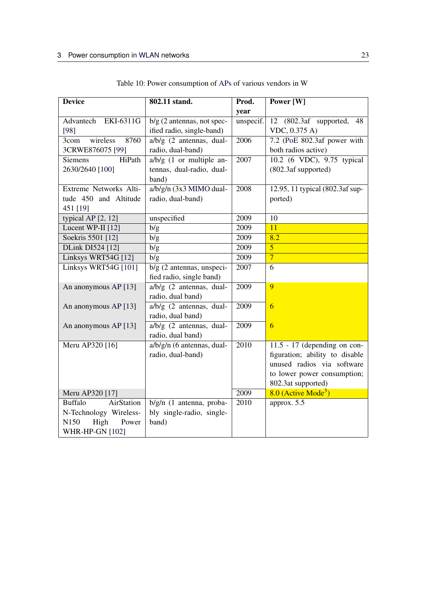<span id="page-23-0"></span>

| year<br>EKI-6311G<br>$\overline{12}$ (802.3af supported,<br>Advantech<br>$b/g$ (2 antennas, not spec-<br>unspecif.<br>48 |  |
|--------------------------------------------------------------------------------------------------------------------------|--|
|                                                                                                                          |  |
|                                                                                                                          |  |
| ified radio, single-band)<br>$[98]$<br>VDC, 0.375 A)                                                                     |  |
| a/b/g (2 antennas, dual-<br>2006<br>7.2 (PoE 802.3af power with<br>3com<br>wireless<br>8760                              |  |
| radio, dual-band)<br>both radios active)<br>3CRWE876075 [99]                                                             |  |
| 10.2 (6 VDC), 9.75 typical<br>$a/b/g$ (1 or multiple an-<br>2007<br><b>Siemens</b><br>HiPath                             |  |
| (802.3af supported)<br>2630/2640 [100]<br>tennas, dual-radio, dual-                                                      |  |
| band)                                                                                                                    |  |
| $a/b/g/n$ (3x3 MIMO dual-<br>Extreme Networks Alti-<br>2008<br>12.95, 11 typical (802.3af sup-                           |  |
| tude 450 and Altitude<br>radio, dual-band)<br>ported)                                                                    |  |
| 451 [19]                                                                                                                 |  |
| unspecified<br>2009<br>10<br>typical AP [2, 12]                                                                          |  |
| 2009<br>11<br>Lucent WP-II [12]<br>b/g                                                                                   |  |
| Soekris 5501 [12]<br>2009<br>8.2<br>b/g                                                                                  |  |
| 2009<br>$\overline{5}$<br>DLink DI524 [12]<br>b/g                                                                        |  |
| $\overline{7}$<br>Linksys WRT54G [12]<br>2009<br>b/g                                                                     |  |
| Linksys WRT54G [101]<br>$b/g$ (2 antennas, unspeci-<br>2007<br>6                                                         |  |
| fied radio, single band)                                                                                                 |  |
| $a/b/g$ (2 antennas, dual-<br>2009<br>9<br>An anonymous AP [13]                                                          |  |
| radio, dual band)                                                                                                        |  |
| a/b/g (2 antennas, dual-<br>2009<br>An anonymous AP [13]<br>6                                                            |  |
| radio, dual band)                                                                                                        |  |
| $a/b/g$ (2 antennas, dual-<br>$\overline{6}$<br>2009<br>An anonymous AP [13]                                             |  |
| radio, dual band)                                                                                                        |  |
| 2010<br>$11.5 - 17$ (depending on con-<br>Meru AP320 [16]<br>a/b/g/n (6 antennas, dual-                                  |  |
| figuration; ability to disable<br>radio, dual-band)                                                                      |  |
| unused radios via software                                                                                               |  |
| to lower power consumption;                                                                                              |  |
| 802.3at supported)<br>2009                                                                                               |  |
| $8.0$ (Active Mode <sup>3</sup> )<br>Meru AP320 [17]<br>AirStation<br>2010<br><b>Buffalo</b>                             |  |
| b/g/n (1 antenna, proba-<br>approx. 5.5<br>bly single-radio, single-                                                     |  |
| N-Technology Wireless-<br>High<br>band)<br>N <sub>150</sub><br>Power                                                     |  |
| <b>WHR-HP-GN [102]</b>                                                                                                   |  |

Table 10: Power consumption of [APs](#page-2-0) of various vendors in W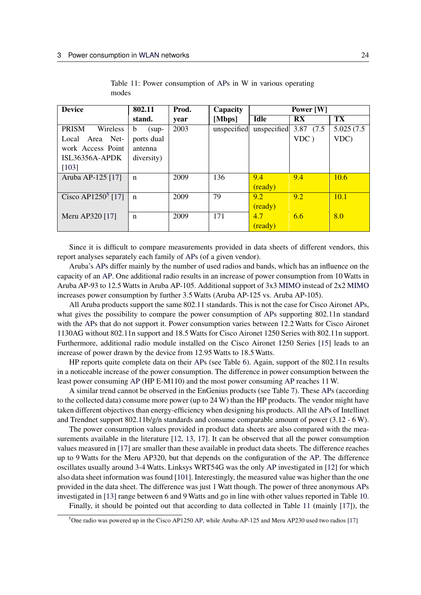<span id="page-24-0"></span>

| <b>Device</b>                  | 802.11       | Prod. | Capacity    | Power [W]   |                         |            |
|--------------------------------|--------------|-------|-------------|-------------|-------------------------|------------|
|                                | stand.       | year  | [Mbps]      | <b>Idle</b> | $\mathbf{R} \mathbf{X}$ | TX         |
| <b>PRISM</b><br>Wireless       | b<br>$(sup-$ | 2003  | unspecified | unspecified | 3.87 (7.5)              | 5.025(7.5) |
| Local Area Net-                | ports dual   |       |             |             | VDC)                    | VDC)       |
| work Access Point              | antenna      |       |             |             |                         |            |
| $ISL36356A-APDK$               | diversity)   |       |             |             |                         |            |
| [103]                          |              |       |             |             |                         |            |
| Aruba AP-125 [17]              | n            | 2009  | 136         | 9.4         | 9.4                     | 10.6       |
|                                |              |       |             | (ready)     |                         |            |
| Cisco AP1250 <sup>5</sup> [17] | $\mathbf n$  | 2009  | 79          | 9.2         | 9.2                     | 10.1       |
|                                |              |       |             | (ready)     |                         |            |
| Meru AP320 [17]                | n            | 2009  | 171         | 4.7         | 6.6                     | 8.0        |
|                                |              |       |             | (ready)     |                         |            |

Table 11: Power consumption of [APs](#page-2-0) in W in various operating modes

Since it is difficult to compare measurements provided in data sheets of different vendors, this report analyses separately each family of [APs](#page-2-0) (of a given vendor).

Aruba's [APs](#page-2-0) differ mainly by the number of used radios and bands, which has an influence on the capacity of an [AP.](#page-2-0) One additional radio results in an increase of power consumption from 10 Watts in Aruba AP-93 to 12.5 Watts in Aruba AP-105. Additional support of 3x3 [MIMO](#page-2-14) instead of 2x2 [MIMO](#page-2-14) increases power consumption by further 3.5 Watts (Aruba AP-125 vs. Aruba AP-105).

All Aruba products support the same 802.11 standards. This is not the case for Cisco Aironet [APs](#page-2-0), what gives the possibility to compare the power consumption of [APs](#page-2-0) supporting 802.11n standard with the [APs](#page-2-0) that do not support it. Power consumption varies between 12.2 Watts for Cisco Aironet 1130AG without 802.11n support and 18.5 Watts for Cisco Aironet 1250 Series with 802.11n support. Furthermore, additional radio module installed on the Cisco Aironet 1250 Series [\[15\]](#page-26-11) leads to an increase of power drawn by the device from 12.95 Watts to 18.5 Watts.

HP reports quite complete data on their [APs](#page-2-0) (see Table [6\)](#page-20-0). Again, support of the 802.11n results in a noticeable increase of the power consumption. The difference in power consumption between the least power consuming [AP](#page-2-0) (HP E-M110) and the most power consuming [AP](#page-2-0) reaches 11 W.

A similar trend cannot be observed in the EnGenius products (see Table [7\)](#page-21-0). These [APs](#page-2-0) (according to the collected data) consume more power (up to 24 W) than the HP products. The vendor might have taken different objectives than energy-efficiency when designing his products. All the [APs](#page-2-0) of Intellinet and Trendnet support 802.11b/g/n standards and consume comparable amount of power (3.12 - 6 W).

The power consumption values provided in product data sheets are also compared with the measurements available in the literature [\[12,](#page-26-8) [13,](#page-26-9) [17\]](#page-26-13). It can be observed that all the power consumption values measured in [\[17\]](#page-26-13) are smaller than these available in product data sheets. The difference reaches up to 9 Watts for the Meru AP320, but that depends on the configuration of the [AP.](#page-2-0) The difference oscillates usually around 3-4 Watts. Linksys WRT54G was the only [AP](#page-2-0) investigated in [\[12\]](#page-26-8) for which also data sheet information was found [\[101\]](#page-30-13). Interestingly, the measured value was higher than the one provided in the data sheet. The difference was just 1 Watt though. The power of three anonymous [APs](#page-2-0) investigated in [\[13\]](#page-26-9) range between 6 and 9 Watts and go in line with other values reported in Table [10.](#page-23-0)

Finally, it should be pointed out that according to data collected in Table [11](#page-24-0) (mainly [\[17\]](#page-26-13)), the

<span id="page-24-1"></span><sup>&</sup>lt;sup>5</sup>One radio was powered up in the Cisco AP1250 [AP,](#page-2-0) while Aruba-AP-125 and Meru AP230 used two radios [\[17\]](#page-26-13)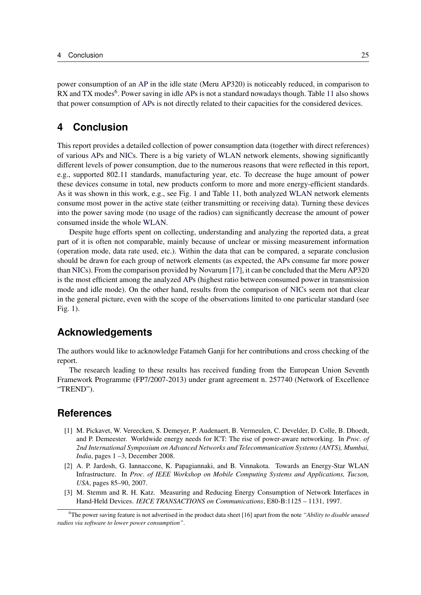power consumption of an [AP](#page-2-0) in the idle state (Meru AP320) is noticeably reduced, in comparison to RX and TX modes<sup>[6](#page-25-5)</sup>. Power saving in idle [APs](#page-2-0) is not a standard nowadays though. Table [11](#page-24-0) also shows that power consumption of [APs](#page-2-0) is not directly related to their capacities for the considered devices.

## <span id="page-25-0"></span>**4 Conclusion**

This report provides a detailed collection of power consumption data (together with direct references) of various [APs](#page-2-0) and [NICs](#page-2-1). There is a big variety of [WLAN](#page-2-2) network elements, showing significantly different levels of power consumption, due to the numerous reasons that were reflected in this report, e.g., supported 802.11 standards, manufacturing year, etc. To decrease the huge amount of power these devices consume in total, new products conform to more and more energy-efficient standards. As it was shown in this work, e.g., see Fig. [1](#page-10-0) and Table [11,](#page-24-0) both analyzed [WLAN](#page-2-2) network elements consume most power in the active state (either transmitting or receiving data). Turning these devices into the power saving mode (no usage of the radios) can significantly decrease the amount of power consumed inside the whole [WLAN.](#page-2-2)

Despite huge efforts spent on collecting, understanding and analyzing the reported data, a great part of it is often not comparable, mainly because of unclear or missing measurement information (operation mode, data rate used, etc.). Within the data that can be compared, a separate conclusion should be drawn for each group of network elements (as expected, the [APs](#page-2-0) consume far more power than [NICs](#page-2-1)). From the comparison provided by Novarum [\[17\]](#page-26-13), it can be concluded that the Meru AP320 is the most efficient among the analyzed [APs](#page-2-0) (highest ratio between consumed power in transmission mode and idle mode). On the other hand, results from the comparison of [NICs](#page-2-1) seem not that clear in the general picture, even with the scope of the observations limited to one particular standard (see Fig. [1\)](#page-10-0).

#### **Acknowledgements**

<span id="page-25-1"></span>The authors would like to acknowledge Fatameh Ganji for her contributions and cross checking of the report.

The research leading to these results has received funding from the European Union Seventh Framework Programme (FP7/2007-2013) under grant agreement n. 257740 (Network of Excellence "TREND").

#### **References**

- <span id="page-25-2"></span>[1] M. Pickavet, W. Vereecken, S. Demeyer, P. Audenaert, B. Vermeulen, C. Develder, D. Colle, B. Dhoedt, and P. Demeester. Worldwide energy needs for ICT: The rise of power-aware networking. In *Proc. of 2nd International Symposium on Advanced Networks and Telecommunication Systems (ANTS), Mumbai, India*, pages 1 –3, December 2008.
- <span id="page-25-3"></span>[2] A. P. Jardosh, G. Iannaccone, K. Papagiannaki, and B. Vinnakota. Towards an Energy-Star WLAN Infrastructure. In *Proc. of IEEE Workshop on Mobile Computing Systems and Applications, Tucson, USA*, pages 85–90, 2007.
- <span id="page-25-4"></span>[3] M. Stemm and R. H. Katz. Measuring and Reducing Energy Consumption of Network Interfaces in Hand-Held Devices. *IEICE TRANSACTIONS on Communications*, E80-B:1125 – 1131, 1997.

<span id="page-25-5"></span><sup>6</sup>The power saving feature is not advertised in the product data sheet [\[16\]](#page-26-12) apart from the note *"Ability to disable unused radios via software to lower power consumption"*.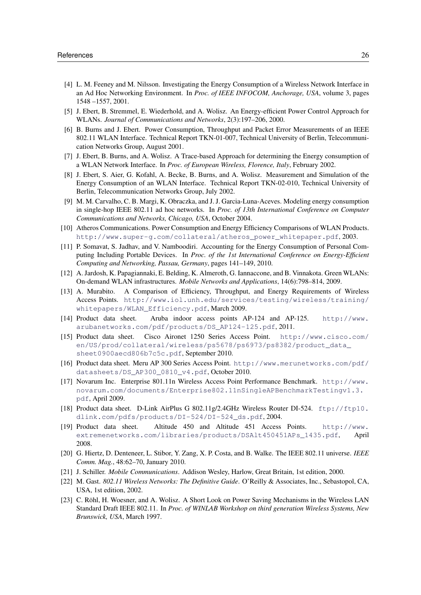- <span id="page-26-0"></span>[4] L. M. Feeney and M. Nilsson. Investigating the Energy Consumption of a Wireless Network Interface in an Ad Hoc Networking Environment. In *Proc. of IEEE INFOCOM, Anchorage, USA*, volume 3, pages 1548 –1557, 2001.
- <span id="page-26-1"></span>[5] J. Ebert, B. Stremmel, E. Wiederhold, and A. Wolisz. An Energy-efficient Power Control Approach for WLANs. *Journal of Communications and Networks*, 2(3):197–206, 2000.
- <span id="page-26-2"></span>[6] B. Burns and J. Ebert. Power Consumption, Throughput and Packet Error Measurements of an IEEE 802.11 WLAN Interface. Technical Report TKN-01-007, Technical University of Berlin, Telecommunication Networks Group, August 2001.
- <span id="page-26-3"></span>[7] J. Ebert, B. Burns, and A. Wolisz. A Trace-based Approach for determining the Energy consumption of a WLAN Network Interface. In *Proc. of European Wireless, Florence, Italy*, February 2002.
- <span id="page-26-4"></span>[8] J. Ebert, S. Aier, G. Kofahl, A. Becke, B. Burns, and A. Wolisz. Measurement and Simulation of the Energy Consumption of an WLAN Interface. Technical Report TKN-02-010, Technical University of Berlin, Telecommunication Networks Group, July 2002.
- <span id="page-26-5"></span>[9] M. M. Carvalho, C. B. Margi, K. Obraczka, and J. J. Garcia-Luna-Aceves. Modeling energy consumption in single-hop IEEE 802.11 ad hoc networks. In *Proc. of 13th International Conference on Computer Communications and Networks, Chicago, USA*, October 2004.
- <span id="page-26-6"></span>[10] Atheros Communications. Power Consumption and Energy Efficiency Comparisons of WLAN Products. [http://www.super-g.com/collateral/atheros\\_power\\_whitepaper.pdf](http://www.super-g.com/collateral/atheros_power_whitepaper.pdf), 2003.
- <span id="page-26-7"></span>[11] P. Somavat, S. Jadhav, and V. Namboodiri. Accounting for the Energy Consumption of Personal Computing Including Portable Devices. In *Proc. of the 1st International Conference on Energy-Efficient Computing and Networking, Passau, Germany*, pages 141–149, 2010.
- <span id="page-26-8"></span>[12] A. Jardosh, K. Papagiannaki, E. Belding, K. Almeroth, G. Iannaccone, and B. Vinnakota. Green WLANs: On-demand WLAN infrastructures. *Mobile Networks and Applications*, 14(6):798–814, 2009.
- <span id="page-26-9"></span>[13] A. Murabito. A Comparison of Efficiency, Throughput, and Energy Requirements of Wireless Access Points. [http://www.iol.unh.edu/services/testing/wireless/training/](http://www.iol.unh.edu/services/testing/wireless/training/whitepapers/WLAN_Efficiency.pdf) [whitepapers/WLAN\\_Efficiency.pdf](http://www.iol.unh.edu/services/testing/wireless/training/whitepapers/WLAN_Efficiency.pdf), March 2009.
- <span id="page-26-10"></span>[14] Product data sheet. Aruba indoor access points AP-124 and AP-125. [http://www.](http://www.arubanetworks.com/pdf/products/DS_AP124-125.pdf) [arubanetworks.com/pdf/products/DS\\_AP124-125.pdf](http://www.arubanetworks.com/pdf/products/DS_AP124-125.pdf), 2011.
- <span id="page-26-11"></span>[15] Product data sheet. Cisco Aironet 1250 Series Access Point. [http://www.cisco.com/](http://www.cisco.com/en/US/prod/collateral/wireless/ps5678/ps6973/ps8382/product_data_sheet0900aecd806b7c5c.pdf) [en/US/prod/collateral/wireless/ps5678/ps6973/ps8382/product\\_data\\_](http://www.cisco.com/en/US/prod/collateral/wireless/ps5678/ps6973/ps8382/product_data_sheet0900aecd806b7c5c.pdf) [sheet0900aecd806b7c5c.pdf](http://www.cisco.com/en/US/prod/collateral/wireless/ps5678/ps6973/ps8382/product_data_sheet0900aecd806b7c5c.pdf), September 2010.
- <span id="page-26-12"></span>[16] Product data sheet. Meru AP 300 Series Access Point. [http://www.merunetworks.com/pdf/](http://www.merunetworks.com/pdf/datasheets/DS_AP300_0810_v4.pdf) [datasheets/DS\\_AP300\\_0810\\_v4.pdf](http://www.merunetworks.com/pdf/datasheets/DS_AP300_0810_v4.pdf), October 2010.
- <span id="page-26-13"></span>[17] Novarum Inc. Enterprise 801.11n Wireless Access Point Performance Benchmark. [http://www.](http://www.novarum.com/documents/Enterprise802.11nSingleAPBenchmarkTestingv1.3.pdf) [novarum.com/documents/Enterprise802.11nSingleAPBenchmarkTestingv1.3.](http://www.novarum.com/documents/Enterprise802.11nSingleAPBenchmarkTestingv1.3.pdf) [pdf](http://www.novarum.com/documents/Enterprise802.11nSingleAPBenchmarkTestingv1.3.pdf), April 2009.
- <span id="page-26-14"></span>[18] Product data sheet. D-Link AirPlus G 802.11g/2.4GHz Wireless Router DI-524. [ftp://ftp10.](ftp://ftp10.dlink.com/pdfs/products/DI-524/DI-524_ds.pdf) [dlink.com/pdfs/products/DI-524/DI-524\\_ds.pdf](ftp://ftp10.dlink.com/pdfs/products/DI-524/DI-524_ds.pdf), 2004.
- <span id="page-26-15"></span>[19] Product data sheet. Altitude 450 and Altitude 451 Access Points. [http://www.](http://www.extremenetworks.com/libraries/products/DSAlt450451APs_1435.pdf) [extremenetworks.com/libraries/products/DSAlt450451APs\\_1435.pdf](http://www.extremenetworks.com/libraries/products/DSAlt450451APs_1435.pdf), April 2008.
- <span id="page-26-16"></span>[20] G. Hiertz, D. Denteneer, L. Stibor, Y. Zang, X. P. Costa, and B. Walke. The IEEE 802.11 universe. *IEEE Comm. Mag.*, 48:62–70, January 2010.
- <span id="page-26-17"></span>[21] J. Schiller. *Mobile Communications*. Addison Wesley, Harlow, Great Britain, 1st edition, 2000.
- <span id="page-26-18"></span>[22] M. Gast. *802.11 Wireless Networks: The Definitive Guide*. O'Reilly & Associates, Inc., Sebastopol, CA, USA, 1st edition, 2002.
- <span id="page-26-19"></span>[23] C. Röhl, H. Woesner, and A. Wolisz. A Short Look on Power Saving Mechanisms in the Wireless LAN Standard Draft IEEE 802.11. In *Proc. of WINLAB Workshop on third generation Wireless Systems, New Brunswick, USA*, March 1997.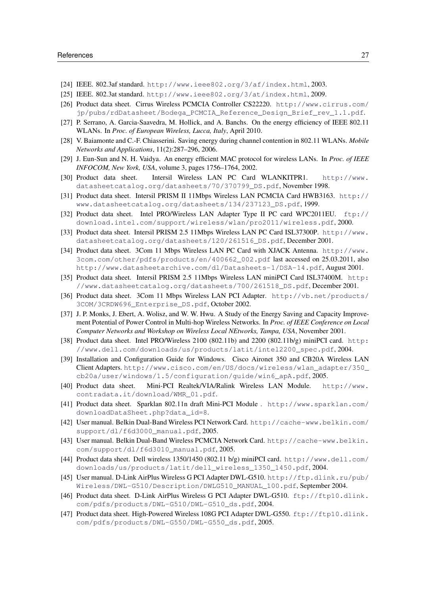- <span id="page-27-0"></span>[24] IEEE. 802.3af standard. <http://www.ieee802.org/3/af/index.html>, 2003.
- <span id="page-27-1"></span>[25] IEEE. 802.3at standard. <http://www.ieee802.org/3/at/index.html>, 2009.
- <span id="page-27-2"></span>[26] Product data sheet. Cirrus Wireless PCMCIA Controller CS22220. [http://www.cirrus.com/](http://www.cirrus.com/jp/pubs/rdDatasheet/Bodega_PCMCIA_Reference_Design_Brief_rev_1.1.pdf) [jp/pubs/rdDatasheet/Bodega\\_PCMCIA\\_Reference\\_Design\\_Brief\\_rev\\_1.1.pdf](http://www.cirrus.com/jp/pubs/rdDatasheet/Bodega_PCMCIA_Reference_Design_Brief_rev_1.1.pdf).
- <span id="page-27-3"></span>[27] P. Serrano, A. Garcia-Saavedra, M. Hollick, and A. Banchs. On the energy efficiency of IEEE 802.11 WLANs. In *Proc. of European Wireless, Lucca, Italy*, April 2010.
- <span id="page-27-4"></span>[28] V. Baiamonte and C.-F. Chiasserini. Saving energy during channel contention in 802.11 WLANs. *Mobile Networks and Applications*, 11(2):287–296, 2006.
- <span id="page-27-5"></span>[29] J. Eun-Sun and N. H. Vaidya. An energy efficient MAC protocol for wireless LANs. In *Proc. of IEEE INFOCOM, New York, USA*, volume 3, pages 1756–1764, 2002.
- <span id="page-27-6"></span>[30] Product data sheet. Intersil Wireless LAN PC Card WLANKITPR1. [http://www.](http://www.datasheetcatalog.org/datasheets/70/370799_DS.pdf) [datasheetcatalog.org/datasheets/70/370799\\_DS.pdf](http://www.datasheetcatalog.org/datasheets/70/370799_DS.pdf), November 1998.
- <span id="page-27-7"></span>[31] Product data sheet. Intersil PRISM II 11Mbps Wireless LAN PCMCIA Card HWB3163. [http://](http://www.datasheetcatalog.org/datasheets/134/237123_DS.pdf) [www.datasheetcatalog.org/datasheets/134/237123\\_DS.pdf](http://www.datasheetcatalog.org/datasheets/134/237123_DS.pdf), 1999.
- <span id="page-27-8"></span>[32] Product data sheet. Intel PRO/Wireless LAN Adapter Type II PC card WPC2011EU. [ftp://](ftp://download.intel.com/support/wireless/wlan/pro2011/wireless.pdf) [download.intel.com/support/wireless/wlan/pro2011/wireless.pdf](ftp://download.intel.com/support/wireless/wlan/pro2011/wireless.pdf), 2000.
- <span id="page-27-9"></span>[33] Product data sheet. Intersil PRISM 2.5 11Mbps Wireless LAN PC Card ISL37300P. [http://www.](http://www.datasheetcatalog.org/datasheets/120/261516_DS.pdf) [datasheetcatalog.org/datasheets/120/261516\\_DS.pdf](http://www.datasheetcatalog.org/datasheets/120/261516_DS.pdf), December 2001.
- <span id="page-27-10"></span>[34] Product data sheet. 3Com 11 Mbps Wireless LAN PC Card with XJACK Antenna. [http://www.](http://www.3com.com/other/pdfs/products/en/400662_002.pdf) [3com.com/other/pdfs/products/en/400662\\_002.pdf](http://www.3com.com/other/pdfs/products/en/400662_002.pdf) last accessed on 25.03.2011, also <http://www.datasheetarchive.com/dl/Datasheets-1/DSA-14.pdf>, August 2001.
- <span id="page-27-11"></span>[35] Product data sheet. Intersil PRISM 2.5 11Mbps Wireless LAN miniPCI Card ISL37400M. [http:](http://www.datasheetcatalog.org/datasheets/700/261518_DS.pdf) [//www.datasheetcatalog.org/datasheets/700/261518\\_DS.pdf](http://www.datasheetcatalog.org/datasheets/700/261518_DS.pdf), December 2001.
- <span id="page-27-12"></span>[36] Product data sheet. 3Com 11 Mbps Wireless LAN PCI Adapter. [http://vb.net/products/](http://vb.net/products/3COM/3CRDW696_Enterprise_DS.pdf) [3COM/3CRDW696\\_Enterprise\\_DS.pdf](http://vb.net/products/3COM/3CRDW696_Enterprise_DS.pdf), October 2002.
- <span id="page-27-13"></span>[37] J. P. Monks, J. Ebert, A. Wolisz, and W. W. Hwu. A Study of the Energy Saving and Capacity Improvement Potential of Power Control in Multi-hop Wireless Networks. In *Proc. of IEEE Conference on Local Computer Networks and Workshop on Wireless Local NEtworks, Tampa, USA*, November 2001.
- <span id="page-27-14"></span>[38] Product data sheet. Intel PRO/Wireless 2100 (802.11b) and 2200 (802.11b/g) miniPCI card. [http:](http://www.dell.com/downloads/us/products/latit/intel2200_spec.pdf) [//www.dell.com/downloads/us/products/latit/intel2200\\_spec.pdf](http://www.dell.com/downloads/us/products/latit/intel2200_spec.pdf), 2004.
- <span id="page-27-15"></span>[39] Installation and Configuration Guide for Windows. Cisco Aironet 350 and CB20A Wireless LAN Client Adapters. [http://www.cisco.com/en/US/docs/wireless/wlan\\_adapter/350\\_](http://www.cisco.com/en/US/docs/wireless/wlan_adapter/350_cb20a/user/windows/1.5/configuration/guide/win6_apA.pdf) [cb20a/user/windows/1.5/configuration/guide/win6\\_apA.pdf](http://www.cisco.com/en/US/docs/wireless/wlan_adapter/350_cb20a/user/windows/1.5/configuration/guide/win6_apA.pdf), 2005.
- <span id="page-27-16"></span>[40] Product data sheet. Mini-PCI Realtek/VIA/Ralink Wireless LAN Module. [http://www.](http://www.contradata.it/download/WMR_01.pdf) [contradata.it/download/WMR\\_01.pdf](http://www.contradata.it/download/WMR_01.pdf).
- <span id="page-27-17"></span>[41] Product data sheet. Sparklan 802.11n draft Mini-PCI Module . [http://www.sparklan.com/](http://www.sparklan.com/downloadDataSheet.php?data_id=8) [downloadDataSheet.php?data\\_id=8](http://www.sparklan.com/downloadDataSheet.php?data_id=8).
- <span id="page-27-18"></span>[42] User manual. Belkin Dual-Band Wireless PCI Network Card. [http://cache-www.belkin.com/](http://cache-www.belkin.com/support/dl/f6d3000_manual.pdf) [support/dl/f6d3000\\_manual.pdf](http://cache-www.belkin.com/support/dl/f6d3000_manual.pdf), 2005.
- <span id="page-27-19"></span>[43] User manual. Belkin Dual-Band Wireless PCMCIA Network Card. [http://cache-www.belkin.](http://cache-www.belkin.com/support/dl/f6d3010_manual.pdf) [com/support/dl/f6d3010\\_manual.pdf](http://cache-www.belkin.com/support/dl/f6d3010_manual.pdf), 2005.
- <span id="page-27-20"></span>[44] Product data sheet. Dell wireless 1350/1450 (802.11 b/g) miniPCI card. [http://www.dell.com/](http://www.dell.com/downloads/us/products/latit/dell_wireless_1350_1450.pdf) [downloads/us/products/latit/dell\\_wireless\\_1350\\_1450.pdf](http://www.dell.com/downloads/us/products/latit/dell_wireless_1350_1450.pdf), 2004.
- <span id="page-27-21"></span>[45] User manual. D-Link AirPlus Wireless G PCI Adapter DWL-G510. [http://ftp.dlink.ru/pub/](http://ftp.dlink.ru/pub/Wireless/DWL-G510/Description/DWLG510_MANUAL_100.pdf) [Wireless/DWL-G510/Description/DWLG510\\_MANUAL\\_100.pdf](http://ftp.dlink.ru/pub/Wireless/DWL-G510/Description/DWLG510_MANUAL_100.pdf), September 2004.
- <span id="page-27-22"></span>[46] Product data sheet. D-Link AirPlus Wireless G PCI Adapter DWL-G510. [ftp://ftp10.dlink.](ftp://ftp10.dlink.com/pdfs/products/DWL-G510/DWL-G510_ds.pdf) [com/pdfs/products/DWL-G510/DWL-G510\\_ds.pdf](ftp://ftp10.dlink.com/pdfs/products/DWL-G510/DWL-G510_ds.pdf), 2004.
- <span id="page-27-23"></span>[47] Product data sheet. High-Powered Wireless 108G PCI Adapter DWL-G550. [ftp://ftp10.dlink.](ftp://ftp10.dlink.com/pdfs/products/DWL-G550/DWL-G550_ds.pdf) [com/pdfs/products/DWL-G550/DWL-G550\\_ds.pdf](ftp://ftp10.dlink.com/pdfs/products/DWL-G550/DWL-G550_ds.pdf), 2005.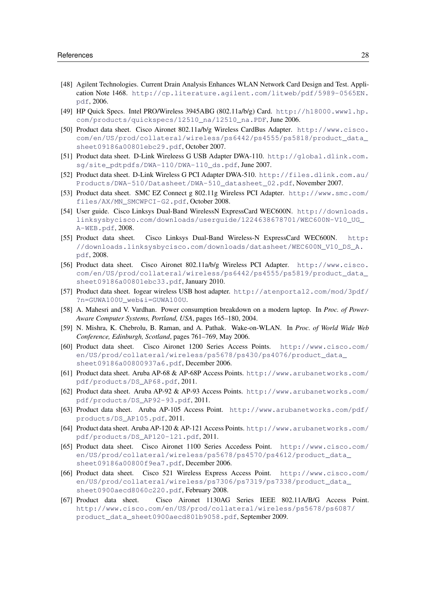- <span id="page-28-0"></span>[48] Agilent Technologies. Current Drain Analysis Enhances WLAN Network Card Design and Test. Application Note 1468. [http://cp.literature.agilent.com/litweb/pdf/5989-0565EN.](http://cp.literature.agilent.com/litweb/pdf/5989-0565EN.pdf) [pdf](http://cp.literature.agilent.com/litweb/pdf/5989-0565EN.pdf), 2006.
- <span id="page-28-1"></span>[49] HP Quick Specs. Intel PRO/Wireless 3945ABG (802.11a/b/g) Card. [http://h18000.www1.hp.](http://h18000.www1.hp.com/products/quickspecs/12510_na/12510_na.PDF) [com/products/quickspecs/12510\\_na/12510\\_na.PDF](http://h18000.www1.hp.com/products/quickspecs/12510_na/12510_na.PDF), June 2006.
- <span id="page-28-2"></span>[50] Product data sheet. Cisco Aironet 802.11a/b/g Wireless CardBus Adapter. [http://www.cisco.](http://www.cisco.com/en/US/prod/collateral/wireless/ps6442/ps4555/ps5818/product_data_sheet09186a00801ebc29.pdf) [com/en/US/prod/collateral/wireless/ps6442/ps4555/ps5818/product\\_data\\_](http://www.cisco.com/en/US/prod/collateral/wireless/ps6442/ps4555/ps5818/product_data_sheet09186a00801ebc29.pdf) [sheet09186a00801ebc29.pdf](http://www.cisco.com/en/US/prod/collateral/wireless/ps6442/ps4555/ps5818/product_data_sheet09186a00801ebc29.pdf), October 2007.
- <span id="page-28-3"></span>[51] Product data sheet. D-Link Wireleess G USB Adapter DWA-110. [http://global.dlink.com.](http://global.dlink.com.sg/site_pdtpdfs/DWA-110/DWA-110_ds.pdf) [sg/site\\_pdtpdfs/DWA-110/DWA-110\\_ds.pdf](http://global.dlink.com.sg/site_pdtpdfs/DWA-110/DWA-110_ds.pdf), June 2007.
- <span id="page-28-4"></span>[52] Product data sheet. D-Link Wireless G PCI Adapter DWA-510. [http://files.dlink.com.au/](http://files.dlink.com.au/Products/DWA-510/Datasheet/DWA-510_datasheet_02.pdf) [Products/DWA-510/Datasheet/DWA-510\\_datasheet\\_02.pdf](http://files.dlink.com.au/Products/DWA-510/Datasheet/DWA-510_datasheet_02.pdf), November 2007.
- <span id="page-28-5"></span>[53] Product data sheet. SMC EZ Connect g 802.11g Wireless PCI Adapter. [http://www.smc.com/](http://www.smc.com/files/AX/MN_SMCWPCI-G2.pdf) [files/AX/MN\\_SMCWPCI-G2.pdf](http://www.smc.com/files/AX/MN_SMCWPCI-G2.pdf), October 2008.
- <span id="page-28-6"></span>[54] User guide. Cisco Linksys Dual-Band WirelessN ExpressCard WEC600N. [http://downloads.](http://downloads.linksysbycisco.com/downloads/userguide/1224638678701/WEC600N-V10_UG_A-WEB.pdf) [linksysbycisco.com/downloads/userguide/1224638678701/WEC600N-V10\\_UG\\_](http://downloads.linksysbycisco.com/downloads/userguide/1224638678701/WEC600N-V10_UG_A-WEB.pdf) [A-WEB.pdf](http://downloads.linksysbycisco.com/downloads/userguide/1224638678701/WEC600N-V10_UG_A-WEB.pdf), 2008.
- <span id="page-28-7"></span>[55] Product data sheet. Cisco Linksys Dual-Band Wireless-N ExpressCard WEC600N. [http:](http://downloads.linksysbycisco.com/downloads/datasheet/WEC600N_V10_DS_A.pdf) [//downloads.linksysbycisco.com/downloads/datasheet/WEC600N\\_V10\\_DS\\_A.](http://downloads.linksysbycisco.com/downloads/datasheet/WEC600N_V10_DS_A.pdf) [pdf](http://downloads.linksysbycisco.com/downloads/datasheet/WEC600N_V10_DS_A.pdf), 2008.
- <span id="page-28-8"></span>[56] Product data sheet. Cisco Aironet 802.11a/b/g Wireless PCI Adapter. [http://www.cisco.](http://www.cisco.com/en/US/prod/collateral/wireless/ps6442/ps4555/ps5819/product_data_sheet09186a00801ebc33.pdf) [com/en/US/prod/collateral/wireless/ps6442/ps4555/ps5819/product\\_data\\_](http://www.cisco.com/en/US/prod/collateral/wireless/ps6442/ps4555/ps5819/product_data_sheet09186a00801ebc33.pdf) [sheet09186a00801ebc33.pdf](http://www.cisco.com/en/US/prod/collateral/wireless/ps6442/ps4555/ps5819/product_data_sheet09186a00801ebc33.pdf), January 2010.
- <span id="page-28-9"></span>[57] Product data sheet. Iogear wireless USB host adapter. [http://atenportal2.com/mod/3pdf/](http://atenportal2.com/mod/3pdf/?n=GUWA100U_web&i=GUWA100U) [?n=GUWA100U\\_web&i=GUWA100U](http://atenportal2.com/mod/3pdf/?n=GUWA100U_web&i=GUWA100U).
- <span id="page-28-10"></span>[58] A. Mahesri and V. Vardhan. Power consumption breakdown on a modern laptop. In *Proc. of Power-Aware Computer Systems, Portland, USA*, pages 165–180, 2004.
- <span id="page-28-11"></span>[59] N. Mishra, K. Chebrolu, B. Raman, and A. Pathak. Wake-on-WLAN. In *Proc. of World Wide Web Conference, Edinburgh, Scotland*, pages 761–769, May 2006.
- <span id="page-28-12"></span>[60] Product data sheet. Cisco Aironet 1200 Series Access Points. [http://www.cisco.com/](http://www.cisco.com/en/US/prod/collateral/wireless/ps5678/ps430/ps4076/product_data_sheet09186a00800937a6.pdf) [en/US/prod/collateral/wireless/ps5678/ps430/ps4076/product\\_data\\_](http://www.cisco.com/en/US/prod/collateral/wireless/ps5678/ps430/ps4076/product_data_sheet09186a00800937a6.pdf) [sheet09186a00800937a6.pdf](http://www.cisco.com/en/US/prod/collateral/wireless/ps5678/ps430/ps4076/product_data_sheet09186a00800937a6.pdf), December 2006.
- <span id="page-28-13"></span>[61] Product data sheet. Aruba AP-68 & AP-68P Access Points. [http://www.arubanetworks.com/](http://www.arubanetworks.com/pdf/products/DS_AP68.pdf) [pdf/products/DS\\_AP68.pdf](http://www.arubanetworks.com/pdf/products/DS_AP68.pdf), 2011.
- <span id="page-28-14"></span>[62] Product data sheet. Aruba AP-92 & AP-93 Access Points. [http://www.arubanetworks.com/](http://www.arubanetworks.com/pdf/products/DS_AP92-93.pdf) [pdf/products/DS\\_AP92-93.pdf](http://www.arubanetworks.com/pdf/products/DS_AP92-93.pdf), 2011.
- <span id="page-28-15"></span>[63] Product data sheet. Aruba AP-105 Access Point. [http://www.arubanetworks.com/pdf/](http://www.arubanetworks.com/pdf/products/DS_AP105.pdf) [products/DS\\_AP105.pdf](http://www.arubanetworks.com/pdf/products/DS_AP105.pdf), 2011.
- <span id="page-28-16"></span>[64] Product data sheet. Aruba AP-120 & AP-121 Access Points. [http://www.arubanetworks.com/](http://www.arubanetworks.com/pdf/products/DS_AP120-121.pdf) [pdf/products/DS\\_AP120-121.pdf](http://www.arubanetworks.com/pdf/products/DS_AP120-121.pdf), 2011.
- <span id="page-28-17"></span>[65] Product data sheet. Cisco Aironet 1100 Series Accedess Point. [http://www.cisco.com/](http://www.cisco.com/en/US/prod/collateral/wireless/ps5678/ps4570/ps4612/product_data_sheet09186a00800f9ea7.pdf) [en/US/prod/collateral/wireless/ps5678/ps4570/ps4612/product\\_data\\_](http://www.cisco.com/en/US/prod/collateral/wireless/ps5678/ps4570/ps4612/product_data_sheet09186a00800f9ea7.pdf) [sheet09186a00800f9ea7.pdf](http://www.cisco.com/en/US/prod/collateral/wireless/ps5678/ps4570/ps4612/product_data_sheet09186a00800f9ea7.pdf), December 2006.
- <span id="page-28-18"></span>[66] Product data sheet. Cisco 521 Wireless Express Access Point. [http://www.cisco.com/](http://www.cisco.com/en/US/prod/collateral/wireless/ps7306/ps7319/ps7338/product_data_sheet0900aecd8060c220.pdf) [en/US/prod/collateral/wireless/ps7306/ps7319/ps7338/product\\_data\\_](http://www.cisco.com/en/US/prod/collateral/wireless/ps7306/ps7319/ps7338/product_data_sheet0900aecd8060c220.pdf) [sheet0900aecd8060c220.pdf](http://www.cisco.com/en/US/prod/collateral/wireless/ps7306/ps7319/ps7338/product_data_sheet0900aecd8060c220.pdf), February 2008.
- <span id="page-28-19"></span>[67] Product data sheet. Cisco Aironet 1130AG Series IEEE 802.11A/B/G Access Point. [http://www.cisco.com/en/US/prod/collateral/wireless/ps5678/ps6087/](http://www.cisco.com/en/US/prod/collateral/wireless/ps5678/ps6087/product_data_sheet0900aecd801b9058.pdf) [product\\_data\\_sheet0900aecd801b9058.pdf](http://www.cisco.com/en/US/prod/collateral/wireless/ps5678/ps6087/product_data_sheet0900aecd801b9058.pdf), September 2009.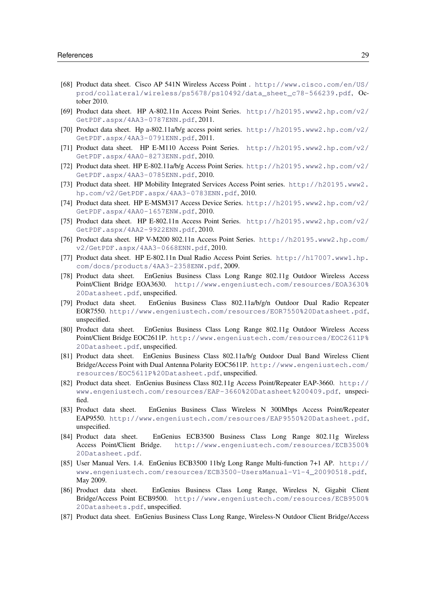- <span id="page-29-0"></span>[68] Product data sheet. Cisco AP 541N Wireless Access Point . [http://www.cisco.com/en/US/](http://www.cisco.com/en/US/prod/collateral/wireless/ps5678/ps10492/data_sheet_c78-566239.pdf) [prod/collateral/wireless/ps5678/ps10492/data\\_sheet\\_c78-566239.pdf](http://www.cisco.com/en/US/prod/collateral/wireless/ps5678/ps10492/data_sheet_c78-566239.pdf), October 2010.
- <span id="page-29-1"></span>[69] Product data sheet. HP A-802.11n Access Point Series. [http://h20195.www2.hp.com/v2/](http://h20195.www2.hp.com/v2/GetPDF.aspx/4AA3-0787ENN.pdf) [GetPDF.aspx/4AA3-0787ENN.pdf](http://h20195.www2.hp.com/v2/GetPDF.aspx/4AA3-0787ENN.pdf), 2011.
- <span id="page-29-2"></span>[70] Product data sheet. Hp a-802.11a/b/g access point series. [http://h20195.www2.hp.com/v2/](http://h20195.www2.hp.com/v2/GetPDF.aspx/4AA3-0791ENN.pdf) [GetPDF.aspx/4AA3-0791ENN.pdf](http://h20195.www2.hp.com/v2/GetPDF.aspx/4AA3-0791ENN.pdf), 2011.
- <span id="page-29-3"></span>[71] Product data sheet. HP E-M110 Access Point Series. [http://h20195.www2.hp.com/v2/](http://h20195.www2.hp.com/v2/GetPDF.aspx/4AA0-8273ENN.pdf) [GetPDF.aspx/4AA0-8273ENN.pdf](http://h20195.www2.hp.com/v2/GetPDF.aspx/4AA0-8273ENN.pdf), 2010.
- <span id="page-29-4"></span>[72] Product data sheet. HP E-802.11a/b/g Access Point Series. [http://h20195.www2.hp.com/v2/](http://h20195.www2.hp.com/v2/GetPDF.aspx/4AA3-0785ENN.pdf) [GetPDF.aspx/4AA3-0785ENN.pdf](http://h20195.www2.hp.com/v2/GetPDF.aspx/4AA3-0785ENN.pdf), 2010.
- <span id="page-29-5"></span>[73] Product data sheet. HP Mobility Integrated Services Access Point series. [http://h20195.www2.](http://h20195.www2.hp.com/v2/GetPDF.aspx/4AA3-0783ENN.pdf) [hp.com/v2/GetPDF.aspx/4AA3-0783ENN.pdf](http://h20195.www2.hp.com/v2/GetPDF.aspx/4AA3-0783ENN.pdf), 2010.
- <span id="page-29-6"></span>[74] Product data sheet. HP E-MSM317 Access Device Series. [http://h20195.www2.hp.com/v2/](http://h20195.www2.hp.com/v2/GetPDF.aspx/4AA0-1657ENW.pdf) [GetPDF.aspx/4AA0-1657ENW.pdf](http://h20195.www2.hp.com/v2/GetPDF.aspx/4AA0-1657ENW.pdf), 2010.
- <span id="page-29-7"></span>[75] Product data sheet. HP E-802.11n Access Point Series. [http://h20195.www2.hp.com/v2/](http://h20195.www2.hp.com/v2/GetPDF.aspx/4AA2-9922ENN.pdf) [GetPDF.aspx/4AA2-9922ENN.pdf](http://h20195.www2.hp.com/v2/GetPDF.aspx/4AA2-9922ENN.pdf), 2010.
- <span id="page-29-8"></span>[76] Product data sheet. HP V-M200 802.11n Access Point Series. [http://h20195.www2.hp.com/](http://h20195.www2.hp.com/v2/GetPDF.aspx/4AA3-0668ENN.pdf) [v2/GetPDF.aspx/4AA3-0668ENN.pdf](http://h20195.www2.hp.com/v2/GetPDF.aspx/4AA3-0668ENN.pdf), 2010.
- <span id="page-29-9"></span>[77] Product data sheet. HP E-802.11n Dual Radio Access Point Series. [http://h17007.www1.hp.](http://h17007.www1.hp.com/docs/products/4AA3-2358ENW.pdf) [com/docs/products/4AA3-2358ENW.pdf](http://h17007.www1.hp.com/docs/products/4AA3-2358ENW.pdf), 2009.
- <span id="page-29-10"></span>[78] Product data sheet. EnGenius Business Class Long Range 802.11g Outdoor Wireless Access Point/Client Bridge EOA3630. [http://www.engeniustech.com/resources/EOA3630%](http://www.engeniustech.com/resources/EOA3630%20Datasheet.pdf) [20Datasheet.pdf](http://www.engeniustech.com/resources/EOA3630%20Datasheet.pdf), unspecified.
- <span id="page-29-11"></span>[79] Product data sheet. EnGenius Business Class 802.11a/b/g/n Outdoor Dual Radio Repeater EOR7550. <http://www.engeniustech.com/resources/EOR7550%20Datasheet.pdf>, unspecified.
- <span id="page-29-12"></span>[80] Product data sheet. EnGenius Business Class Long Range 802.11g Outdoor Wireless Access Point/Client Bridge EOC2611P. [http://www.engeniustech.com/resources/EOC2611P%](http://www.engeniustech.com/resources/EOC2611P%20Datasheet.pdf) [20Datasheet.pdf](http://www.engeniustech.com/resources/EOC2611P%20Datasheet.pdf), unspecified.
- <span id="page-29-13"></span>[81] Product data sheet. EnGenius Business Class 802.11a/b/g Outdoor Dual Band Wireless Client Bridge/Access Point with Dual Antenna Polarity EOC5611P. [http://www.engeniustech.com/](http://www.engeniustech.com/resources/EOC5611P%20Datasheet.pdf) [resources/EOC5611P%20Datasheet.pdf](http://www.engeniustech.com/resources/EOC5611P%20Datasheet.pdf), unspecified.
- <span id="page-29-14"></span>[82] Product data sheet. EnGenius Business Class 802.11g Access Point/Repeater EAP-3660. [http://](http://www.engeniustech.com/resources/EAP-3660%20Datasheet%200409.pdf) [www.engeniustech.com/resources/EAP-3660%20Datasheet%200409.pdf](http://www.engeniustech.com/resources/EAP-3660%20Datasheet%200409.pdf), unspecified.
- <span id="page-29-15"></span>[83] Product data sheet. EnGenius Business Class Wireless N 300Mbps Access Point/Repeater EAP9550. <http://www.engeniustech.com/resources/EAP9550%20Datasheet.pdf>, unspecified.
- <span id="page-29-16"></span>[84] Product data sheet. EnGenius ECB3500 Business Class Long Range 802.11g Wireless Access Point/Client Bridge. [http://www.engeniustech.com/resources/ECB3500%](http://www.engeniustech.com/resources/ECB3500%20Datasheet.pdf) [20Datasheet.pdf](http://www.engeniustech.com/resources/ECB3500%20Datasheet.pdf).
- <span id="page-29-17"></span>[85] User Manual Vers. 1.4. EnGenius ECB3500 11b/g Long Range Multi-function 7+1 AP. [http://](http://www.engeniustech.com/resources/ECB3500-UsersManual-V1-4_20090518.pdf) [www.engeniustech.com/resources/ECB3500-UsersManual-V1-4\\_20090518.pdf](http://www.engeniustech.com/resources/ECB3500-UsersManual-V1-4_20090518.pdf), May 2009.
- <span id="page-29-18"></span>[86] Product data sheet. EnGenius Business Class Long Range, Wireless N, Gigabit Client Bridge/Access Point ECB9500. [http://www.engeniustech.com/resources/ECB9500%](http://www.engeniustech.com/resources/ECB9500%20Datasheets.pdf) [20Datasheets.pdf](http://www.engeniustech.com/resources/ECB9500%20Datasheets.pdf), unspecified.
- <span id="page-29-19"></span>[87] Product data sheet. EnGenius Business Class Long Range, Wireless-N Outdoor Client Bridge/Access